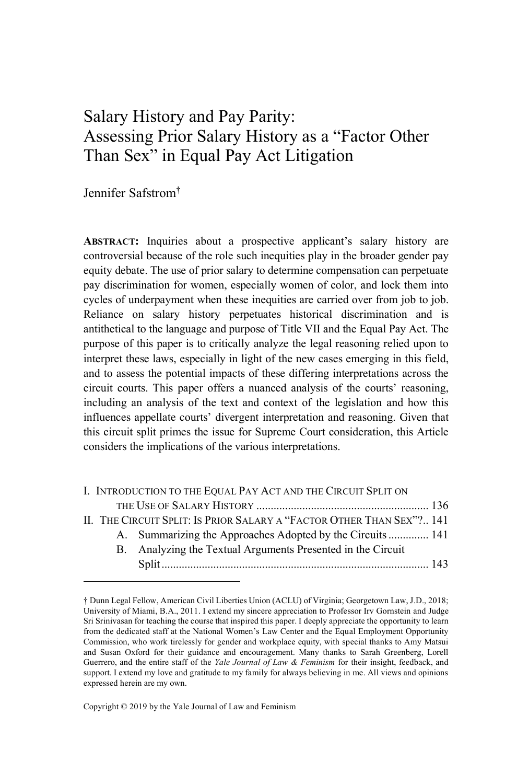# Salary History and Pay Parity: Assessing Prior Salary History as a "Factor Other Than Sex" in Equal Pay Act Litigation

Jennifer Safstrom†

**ABSTRACT:** Inquiries about a prospective applicant's salary history are controversial because of the role such inequities play in the broader gender pay equity debate. The use of prior salary to determine compensation can perpetuate pay discrimination for women, especially women of color, and lock them into cycles of underpayment when these inequities are carried over from job to job. Reliance on salary history perpetuates historical discrimination and is antithetical to the language and purpose of Title VII and the Equal Pay Act. The purpose of this paper is to critically analyze the legal reasoning relied upon to interpret these laws, especially in light of the new cases emerging in this field, and to assess the potential impacts of these differing interpretations across the circuit courts. This paper offers a nuanced analysis of the courts' reasoning, including an analysis of the text and context of the legislation and how this influences appellate courts' divergent interpretation and reasoning. Given that this circuit split primes the issue for Supreme Court consideration, this Article considers the implications of the various interpretations.

|  | I. INTRODUCTION TO THE EQUAL PAY ACT AND THE CIRCUIT SPLIT ON         |  |
|--|-----------------------------------------------------------------------|--|
|  |                                                                       |  |
|  | II. THE CIRCUIT SPLIT: IS PRIOR SALARY A "FACTOR OTHER THAN SEX"? 141 |  |
|  | A. Summarizing the Approaches Adopted by the Circuits 141             |  |
|  | B. Analyzing the Textual Arguments Presented in the Circuit           |  |
|  |                                                                       |  |

Copyright © 2019 by the Yale Journal of Law and Feminism

<sup>†</sup> Dunn Legal Fellow, American Civil Liberties Union (ACLU) of Virginia; Georgetown Law, J.D., 2018; University of Miami, B.A., 2011. I extend my sincere appreciation to Professor Irv Gornstein and Judge Sri Srinivasan for teaching the course that inspired this paper. I deeply appreciate the opportunity to learn from the dedicated staff at the National Women's Law Center and the Equal Employment Opportunity Commission, who work tirelessly for gender and workplace equity, with special thanks to Amy Matsui and Susan Oxford for their guidance and encouragement. Many thanks to Sarah Greenberg, Lorell Guerrero, and the entire staff of the *Yale Journal of Law & Feminism* for their insight, feedback, and support. I extend my love and gratitude to my family for always believing in me. All views and opinions expressed herein are my own.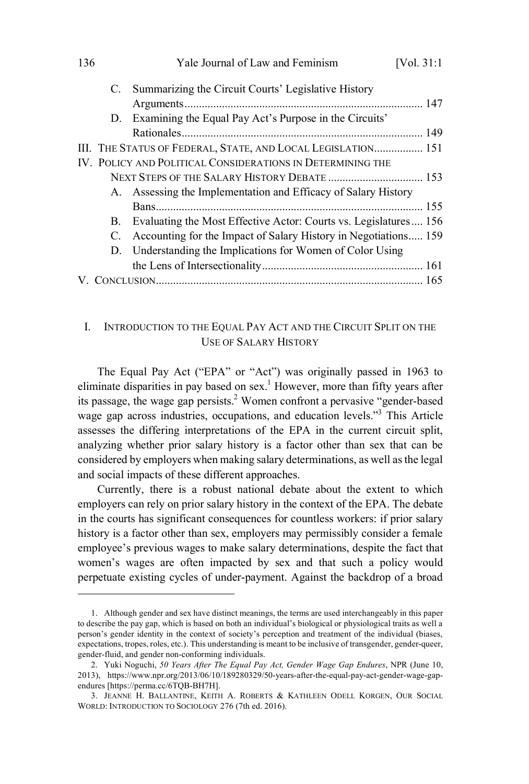| 136 |             | Yale Journal of Law and Feminism                                 | [Vol. $31:1$ |
|-----|-------------|------------------------------------------------------------------|--------------|
|     |             | C. Summarizing the Circuit Courts' Legislative History           |              |
|     |             |                                                                  |              |
|     |             | D. Examining the Equal Pay Act's Purpose in the Circuits'        |              |
|     |             |                                                                  |              |
|     |             | III. THE STATUS OF FEDERAL, STATE, AND LOCAL LEGISLATION 151     |              |
|     |             | IV. POLICY AND POLITICAL CONSIDERATIONS IN DETERMINING THE       |              |
|     |             | NEXT STEPS OF THE SALARY HISTORY DEBATE  153                     |              |
|     |             | A. Assessing the Implementation and Efficacy of Salary History   |              |
|     |             |                                                                  |              |
|     | B.          | Evaluating the Most Effective Actor: Courts vs. Legislatures 156 |              |
|     | $C_{\cdot}$ | Accounting for the Impact of Salary History in Negotiations 159  |              |
|     |             | D. Understanding the Implications for Women of Color Using       |              |
|     |             |                                                                  |              |
|     |             |                                                                  |              |

# I. INTRODUCTION TO THE EQUAL PAY ACT AND THE CIRCUIT SPLIT ON THE USE OF SALARY HISTORY

The Equal Pay Act ("EPA" or "Act") was originally passed in 1963 to eliminate disparities in pay based on sex.<sup>1</sup> However, more than fifty years after its passage, the wage gap persists. <sup>2</sup> Women confront a pervasive "gender-based wage gap across industries, occupations, and education levels."<sup>3</sup> This Article assesses the differing interpretations of the EPA in the current circuit split, analyzing whether prior salary history is a factor other than sex that can be considered by employers when making salary determinations, as well asthe legal and social impacts of these different approaches.

Currently, there is a robust national debate about the extent to which employers can rely on prior salary history in the context of the EPA. The debate in the courts has significant consequences for countless workers: if prior salary history is a factor other than sex, employers may permissibly consider a female employee's previous wages to make salary determinations, despite the fact that women's wages are often impacted by sex and that such a policy would perpetuate existing cycles of under-payment. Against the backdrop of a broad

<sup>1.</sup> Although gender and sex have distinct meanings, the terms are used interchangeably in this paper to describe the pay gap, which is based on both an individual's biological or physiological traits as well a person's gender identity in the context of society's perception and treatment of the individual (biases, expectations, tropes, roles, etc.). This understanding is meant to be inclusive of transgender, gender-queer, gender-fluid, and gender non-conforming individuals.

<sup>2.</sup> Yuki Noguchi, *50 Years After The Equal Pay Act, Gender Wage Gap Endures*, NPR (June 10, 2013), https://www.npr.org/2013/06/10/189280329/50-years-after-the-equal-pay-act-gender-wage-gapendures [https://perma.cc/6TQB-BH7H].

<sup>3.</sup> JEANNE H. BALLANTINE, KEITH A. ROBERTS & KATHLEEN ODELL KORGEN, OUR SOCIAL WORLD: INTRODUCTION TO SOCIOLOGY 276 (7th ed. 2016).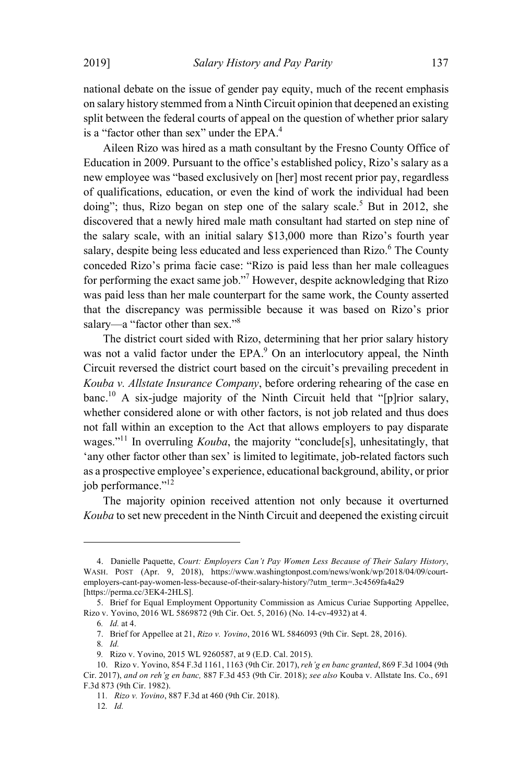national debate on the issue of gender pay equity, much of the recent emphasis on salary history stemmed from a Ninth Circuit opinion that deepened an existing split between the federal courts of appeal on the question of whether prior salary is a "factor other than sex" under the  $EPA<sup>4</sup>$ .

Aileen Rizo was hired as a math consultant by the Fresno County Office of Education in 2009. Pursuant to the office's established policy, Rizo's salary as a new employee was "based exclusively on [her] most recent prior pay, regardless of qualifications, education, or even the kind of work the individual had been doing"; thus, Rizo began on step one of the salary scale.<sup>5</sup> But in 2012, she discovered that a newly hired male math consultant had started on step nine of the salary scale, with an initial salary \$13,000 more than Rizo's fourth year salary, despite being less educated and less experienced than Rizo.<sup>6</sup> The County conceded Rizo's prima facie case: "Rizo is paid less than her male colleagues for performing the exact same job."<sup>7</sup> However, despite acknowledging that Rizo was paid less than her male counterpart for the same work, the County asserted that the discrepancy was permissible because it was based on Rizo's prior salary—a "factor other than sex."<sup>8</sup>

The district court sided with Rizo, determining that her prior salary history was not a valid factor under the EPA.<sup>9</sup> On an interlocutory appeal, the Ninth Circuit reversed the district court based on the circuit's prevailing precedent in *Kouba v. Allstate Insurance Company*, before ordering rehearing of the case en  $b$ anc.<sup>10</sup> A six-judge majority of the Ninth Circuit held that "[p]rior salary, whether considered alone or with other factors, is not job related and thus does not fall within an exception to the Act that allows employers to pay disparate wages."<sup>11</sup> In overruling *Kouba*, the majority "conclude[s], unhesitatingly, that 'any other factor other than sex' is limited to legitimate, job-related factors such as a prospective employee's experience, educational background, ability, or prior iob performance." $^{12}$ 

The majority opinion received attention not only because it overturned *Kouba* to set new precedent in the Ninth Circuit and deepened the existing circuit

<sup>4.</sup> Danielle Paquette, *Court: Employers Can't Pay Women Less Because of Their Salary History*, WASH. POST (Apr. 9, 2018), https://www.washingtonpost.com/news/wonk/wp/2018/04/09/courtemployers-cant-pay-women-less-because-of-their-salary-history/?utm\_term=.3c4569fa4a29 [https://perma.cc/3EK4-2HLS].

<sup>5.</sup> Brief for Equal Employment Opportunity Commission as Amicus Curiae Supporting Appellee, Rizo v. Yovino, 2016 WL 5869872 (9th Cir. Oct. 5, 2016) (No. 14-cv-4932) at 4.

<sup>6</sup>*. Id.* at 4.

<sup>7.</sup> Brief for Appellee at 21, *Rizo v. Yovino*, 2016 WL 5846093 (9th Cir. Sept. 28, 2016).

<sup>8</sup>*. Id.*

<sup>9</sup>*.* Rizo v. Yovino, 2015 WL 9260587, at 9 (E.D. Cal. 2015).

<sup>10.</sup> Rizo v. Yovino, 854 F.3d 1161, 1163 (9th Cir. 2017),*reh'g en banc granted*, 869 F.3d 1004 (9th Cir. 2017), *and on reh'g en banc,* 887 F.3d 453 (9th Cir. 2018); *see also* Kouba v. Allstate Ins. Co., 691 F.3d 873 (9th Cir. 1982).

<sup>11</sup>*. Rizo v. Yovino*, 887 F.3d at 460 (9th Cir. 2018).

<sup>12</sup>*. Id.*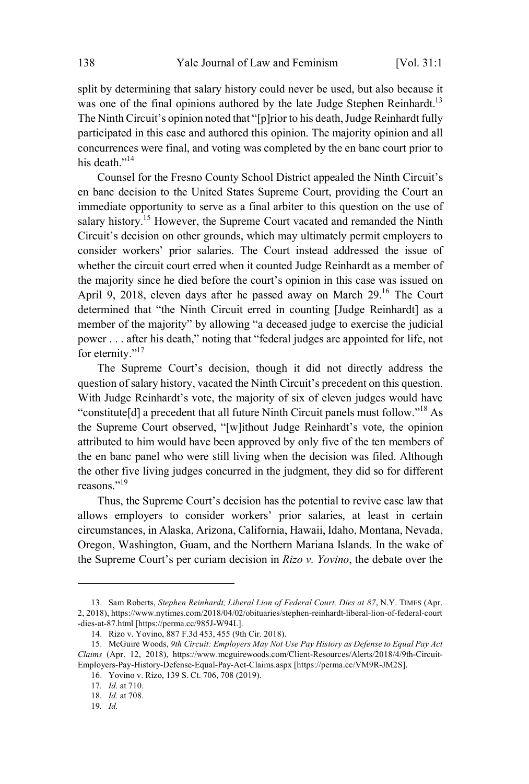split by determining that salary history could never be used, but also because it was one of the final opinions authored by the late Judge Stephen Reinhardt.<sup>13</sup> The Ninth Circuit's opinion noted that "[p]rior to his death, Judge Reinhardt fully participated in this case and authored this opinion. The majority opinion and all concurrences were final, and voting was completed by the en banc court prior to his death."<sup>14</sup>

Counsel for the Fresno County School District appealed the Ninth Circuit's en banc decision to the United States Supreme Court, providing the Court an immediate opportunity to serve as a final arbiter to this question on the use of salary history.<sup>15</sup> However, the Supreme Court vacated and remanded the Ninth Circuit's decision on other grounds, which may ultimately permit employers to consider workers' prior salaries. The Court instead addressed the issue of whether the circuit court erred when it counted Judge Reinhardt as a member of the majority since he died before the court's opinion in this case was issued on April 9, 2018, eleven days after he passed away on March 29.<sup>16</sup> The Court determined that "the Ninth Circuit erred in counting [Judge Reinhardt] as a member of the majority" by allowing "a deceased judge to exercise the judicial power . . . after his death," noting that "federal judges are appointed for life, not for eternity."<sup>17</sup>

The Supreme Court's decision, though it did not directly address the question of salary history, vacated the Ninth Circuit's precedent on this question. With Judge Reinhardt's vote, the majority of six of eleven judges would have "constitute[d] a precedent that all future Ninth Circuit panels must follow."<sup>18</sup> As the Supreme Court observed, "[w]ithout Judge Reinhardt's vote, the opinion attributed to him would have been approved by only five of the ten members of the en banc panel who were still living when the decision was filed. Although the other five living judges concurred in the judgment, they did so for different reasons."<sup>19</sup>

Thus, the Supreme Court's decision has the potential to revive case law that allows employers to consider workers' prior salaries, at least in certain circumstances, in Alaska, Arizona, California, Hawaii, Idaho, Montana, Nevada, Oregon, Washington, Guam, and the Northern Mariana Islands. In the wake of the Supreme Court's per curiam decision in *Rizo v. Yovino*, the debate over the

17*. Id.* at 710.

19*. Id.*

<sup>13.</sup> Sam Roberts, *Stephen Reinhardt, Liberal Lion of Federal Court, Dies at 87*, N.Y. TIMES (Apr. 2, 2018), https://www.nytimes.com/2018/04/02/obituaries/stephen-reinhardt-liberal-lion-of-federal-court -dies-at-87.html [https://perma.cc/985J-W94L].

<sup>14.</sup> Rizo v. Yovino, 887 F.3d 453, 455 (9th Cir. 2018).

<sup>15.</sup> McGuire Woods, *9th Circuit: Employers May Not Use Pay History as Defense to Equal Pay Act Claims* (Apr. 12, 2018), https://www.mcguirewoods.com/Client-Resources/Alerts/2018/4/9th-Circuit-Employers-Pay-History-Defense-Equal-Pay-Act-Claims.aspx [https://perma.cc/VM9R-JM2S].

<sup>16.</sup> Yovino v. Rizo, 139 S. Ct. 706, 708 (2019).

<sup>18</sup>*. Id.* at 708.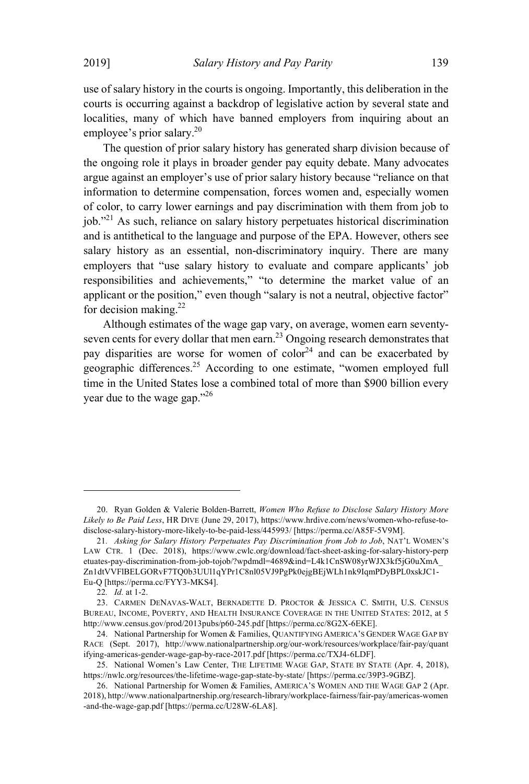use of salary history in the courts is ongoing. Importantly, this deliberation in the courts is occurring against a backdrop of legislative action by several state and localities, many of which have banned employers from inquiring about an employee's prior salary. 20

The question of prior salary history has generated sharp division because of the ongoing role it plays in broader gender pay equity debate. Many advocates argue against an employer's use of prior salary history because "reliance on that information to determine compensation, forces women and, especially women of color, to carry lower earnings and pay discrimination with them from job to job."<sup>21</sup> As such, reliance on salary history perpetuates historical discrimination and is antithetical to the language and purpose of the EPA. However, others see salary history as an essential, non-discriminatory inquiry. There are many employers that "use salary history to evaluate and compare applicants' job responsibilities and achievements," "to determine the market value of an applicant or the position," even though "salary is not a neutral, objective factor" for decision making.<sup>22</sup>

Although estimates of the wage gap vary, on average, women earn seventyseven cents for every dollar that men earn.<sup>23</sup> Ongoing research demonstrates that pay disparities are worse for women of  $\text{color}^{\text{24}}$  and can be exacerbated by geographic differences.<sup>25</sup> According to one estimate, "women employed full time in the United States lose a combined total of more than \$900 billion every vear due to the wage gap."<sup>26</sup>

<sup>20.</sup> Ryan Golden & Valerie Bolden-Barrett, *Women Who Refuse to Disclose Salary History More Likely to Be Paid Less*, HR DIVE (June 29, 2017), https://www.hrdive.com/news/women-who-refuse-todisclose-salary-history-more-likely-to-be-paid-less/445993/ [https://perma.cc/A85F-5V9M].

<sup>21</sup>*. Asking for Salary History Perpetuates Pay Discrimination from Job to Job*, NAT'<sup>L</sup> WOMEN'<sup>S</sup> LAW CTR. 1 (Dec. 2018), https://www.cwlc.org/download/fact-sheet-asking-for-salary-history-perp etuates-pay-discrimination-from-job-tojob/?wpdmdl=4689&ind=L4k1CnSW08yrWJX3kf5jG0uXmA\_ Zn1dtVVFlBELGORvF7TQ0b3UUl1qYPr1C8nl05VJ9PgPk0ejgBEjWLh1nk9IqmPDyBPL0xskJC1- Eu-Q [https://perma.cc/FYY3-MKS4].

<sup>22</sup>*. Id.* at 1-2.

<sup>23.</sup> CARMEN DENAVAS-WALT, BERNADETTE D. PROCTOR & JESSICA C. SMITH, U.S. CENSUS BUREAU, INCOME, POVERTY, AND HEALTH INSURANCE COVERAGE IN THE UNITED STATES: 2012, at 5 http://www.census.gov/prod/2013pubs/p60-245.pdf [https://perma.cc/8G2X-6EKE].

<sup>24.</sup> National Partnership for Women & Families, QUANTIFYING AMERICA'S GENDER WAGE GAP BY RACE (Sept. 2017), http://www.nationalpartnership.org/our-work/resources/workplace/fair-pay/quant ifying-americas-gender-wage-gap-by-race-2017.pdf [https://perma.cc/TXJ4-6LDF].

<sup>25.</sup> National Women's Law Center, THE LIFETIME WAGE GAP, STATE BY STATE (Apr. 4, 2018), https://nwlc.org/resources/the-lifetime-wage-gap-state-by-state/ [https://perma.cc/39P3-9GBZ].

<sup>26.</sup> National Partnership for Women & Families, AMERICA'S WOMEN AND THE WAGE GAP 2 (Apr. 2018), http://www.nationalpartnership.org/research-library/workplace-fairness/fair-pay/americas-women -and-the-wage-gap.pdf [https://perma.cc/U28W-6LA8].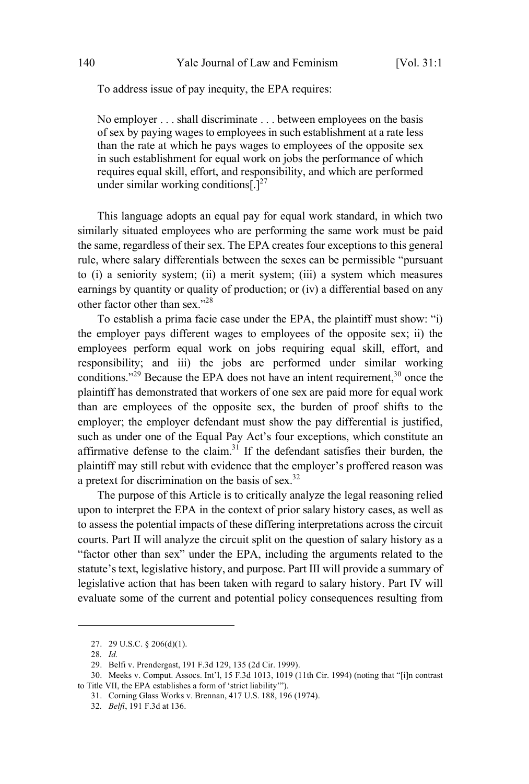To address issue of pay inequity, the EPA requires:

No employer . . . shall discriminate . . . between employees on the basis of sex by paying wages to employees in such establishment at a rate less than the rate at which he pays wages to employees of the opposite sex in such establishment for equal work on jobs the performance of which requires equal skill, effort, and responsibility, and which are performed under similar working conditions $\int_1^{27}$ 

This language adopts an equal pay for equal work standard, in which two similarly situated employees who are performing the same work must be paid the same, regardless of their sex. The EPA creates four exceptions to this general rule, where salary differentials between the sexes can be permissible "pursuant to (i) a seniority system; (ii) a merit system; (iii) a system which measures earnings by quantity or quality of production; or (iv) a differential based on any other factor other than sex." 28

To establish a prima facie case under the EPA, the plaintiff must show: "i) the employer pays different wages to employees of the opposite sex; ii) the employees perform equal work on jobs requiring equal skill, effort, and responsibility; and iii) the jobs are performed under similar working conditions."<sup>29</sup> Because the EPA does not have an intent requirement.<sup>30</sup> once the plaintiff has demonstrated that workers of one sex are paid more for equal work than are employees of the opposite sex, the burden of proof shifts to the employer; the employer defendant must show the pay differential is justified, such as under one of the Equal Pay Act's four exceptions, which constitute an affirmative defense to the claim.<sup>31</sup> If the defendant satisfies their burden, the plaintiff may still rebut with evidence that the employer's proffered reason was a pretext for discrimination on the basis of sex.<sup>32</sup>

The purpose of this Article is to critically analyze the legal reasoning relied upon to interpret the EPA in the context of prior salary history cases, as well as to assess the potential impacts of these differing interpretations across the circuit courts. Part II will analyze the circuit split on the question of salary history as a "factor other than sex" under the EPA, including the arguments related to the statute's text, legislative history, and purpose. Part III will provide a summary of legislative action that has been taken with regard to salary history. Part IV will evaluate some of the current and potential policy consequences resulting from

<sup>27.</sup> 29 U.S.C. § 206(d)(1).

<sup>28</sup>*. Id.*

<sup>29.</sup> Belfi v. Prendergast, 191 F.3d 129, 135 (2d Cir. 1999).

<sup>30.</sup> Meeks v. Comput. Assocs. Int'l, 15 F.3d 1013, 1019 (11th Cir. 1994) (noting that "[i]n contrast to Title VII, the EPA establishes a form of 'strict liability'").

<sup>31.</sup> Corning Glass Works v. Brennan, 417 U.S. 188, 196 (1974).

<sup>32</sup>*. Belfi*, 191 F.3d at 136.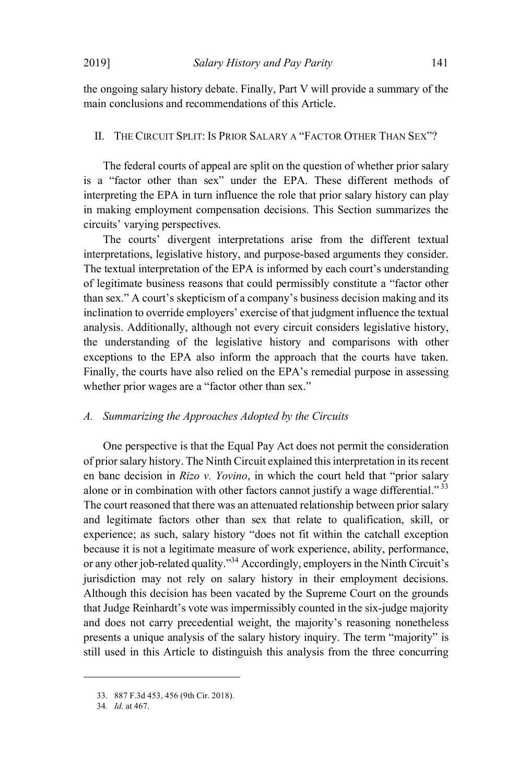the ongoing salary history debate. Finally, Part V will provide a summary of the main conclusions and recommendations of this Article.

## II. THE CIRCUIT SPLIT: IS PRIOR SALARY A "FACTOR OTHER THAN SEX"?

The federal courts of appeal are split on the question of whether prior salary is a "factor other than sex" under the EPA. These different methods of interpreting the EPA in turn influence the role that prior salary history can play in making employment compensation decisions. This Section summarizes the circuits' varying perspectives.

The courts' divergent interpretations arise from the different textual interpretations, legislative history, and purpose-based arguments they consider. The textual interpretation of the EPA is informed by each court's understanding of legitimate business reasons that could permissibly constitute a "factor other than sex." A court's skepticism of a company's business decision making and its inclination to override employers' exercise of that judgment influence the textual analysis. Additionally, although not every circuit considers legislative history, the understanding of the legislative history and comparisons with other exceptions to the EPA also inform the approach that the courts have taken. Finally, the courts have also relied on the EPA's remedial purpose in assessing whether prior wages are a "factor other than sex."

#### *A. Summarizing the Approaches Adopted by the Circuits*

One perspective is that the Equal Pay Act does not permit the consideration of priorsalary history. The Ninth Circuit explained thisinterpretation in itsrecent en banc decision in *Rizo v. Yovino*, in which the court held that "prior salary alone or in combination with other factors cannot justify a wage differential."<sup>33</sup> The court reasoned that there was an attenuated relationship between prior salary and legitimate factors other than sex that relate to qualification, skill, or experience; as such, salary history "does not fit within the catchall exception because it is not a legitimate measure of work experience, ability, performance, or any other job-related quality."<sup>34</sup> Accordingly, employers in the Ninth Circuit's jurisdiction may not rely on salary history in their employment decisions. Although this decision has been vacated by the Supreme Court on the grounds that Judge Reinhardt's vote was impermissibly counted in the six-judge majority and does not carry precedential weight, the majority's reasoning nonetheless presents a unique analysis of the salary history inquiry. The term "majority" is still used in this Article to distinguish this analysis from the three concurring

<sup>33.</sup> 887 F.3d 453, 456 (9th Cir. 2018).

<sup>34</sup>*. Id.* at 467.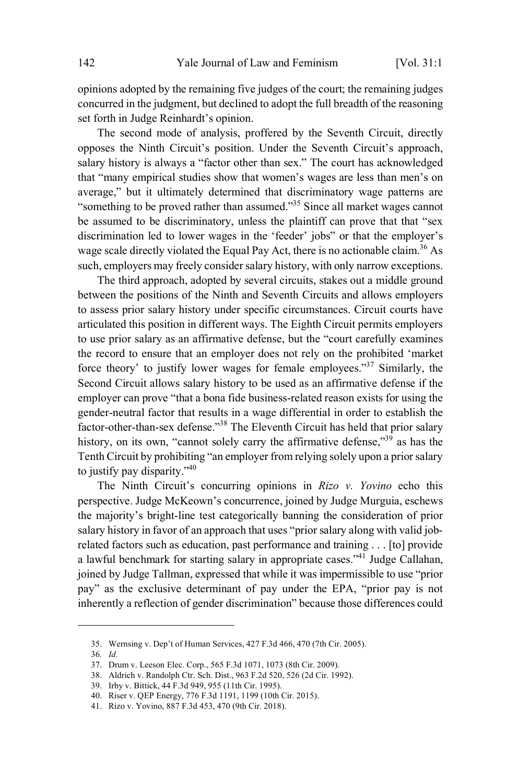opinions adopted by the remaining five judges of the court; the remaining judges concurred in the judgment, but declined to adopt the full breadth of the reasoning set forth in Judge Reinhardt's opinion.

The second mode of analysis, proffered by the Seventh Circuit, directly opposes the Ninth Circuit's position. Under the Seventh Circuit's approach, salary history is always a "factor other than sex." The court has acknowledged that "many empirical studies show that women's wages are less than men's on average," but it ultimately determined that discriminatory wage patterns are "something to be proved rather than assumed." <sup>35</sup> Since all market wages cannot be assumed to be discriminatory, unless the plaintiff can prove that that "sex discrimination led to lower wages in the 'feeder' jobs" or that the employer's wage scale directly violated the Equal Pay Act, there is no actionable claim.<sup>36</sup> As such, employers may freely consider salary history, with only narrow exceptions.

The third approach, adopted by several circuits, stakes out a middle ground between the positions of the Ninth and Seventh Circuits and allows employers to assess prior salary history under specific circumstances. Circuit courts have articulated this position in different ways. The Eighth Circuit permits employers to use prior salary as an affirmative defense, but the "court carefully examines the record to ensure that an employer does not rely on the prohibited 'market force theory' to justify lower wages for female employees."<sup>37</sup> Similarly, the Second Circuit allows salary history to be used as an affirmative defense if the employer can prove "that a bona fide business-related reason exists for using the gender-neutral factor that results in a wage differential in order to establish the factor-other-than-sex defense." <sup>38</sup> The Eleventh Circuit has held that prior salary history, on its own, "cannot solely carry the affirmative defense."<sup>39</sup> as has the Tenth Circuit by prohibiting "an employer from relying solely upon a priorsalary to justify pay disparity."<sup>40</sup>

The Ninth Circuit's concurring opinions in *Rizo v. Yovino* echo this perspective. Judge McKeown's concurrence, joined by Judge Murguia, eschews the majority's bright-line test categorically banning the consideration of prior salary history in favor of an approach that uses "prior salary along with valid jobrelated factors such as education, past performance and training . . . [to] provide a lawful benchmark for starting salary in appropriate cases."<sup>41</sup> Judge Callahan, joined by Judge Tallman, expressed that while it was impermissible to use "prior pay" as the exclusive determinant of pay under the EPA, "prior pay is not inherently a reflection of gender discrimination" because those differences could

<sup>35.</sup> Wernsing v. Dep't of Human Services, 427 F.3d 466, 470 (7th Cir. 2005).

<sup>36</sup>*. Id.*

<sup>37.</sup> Drum v. Leeson Elec. Corp., 565 F.3d 1071, 1073 (8th Cir. 2009).

<sup>38.</sup> Aldrich v. Randolph Ctr. Sch. Dist., 963 F.2d 520, 526 (2d Cir. 1992).

<sup>39.</sup> Irby v. Bittick, 44 F.3d 949, 955 (11th Cir. 1995).

<sup>40.</sup> Riser v. QEP Energy, 776 F.3d 1191, 1199 (10th Cir. 2015).

<sup>41.</sup> Rizo v. Yovino, 887 F.3d 453, 470 (9th Cir. 2018).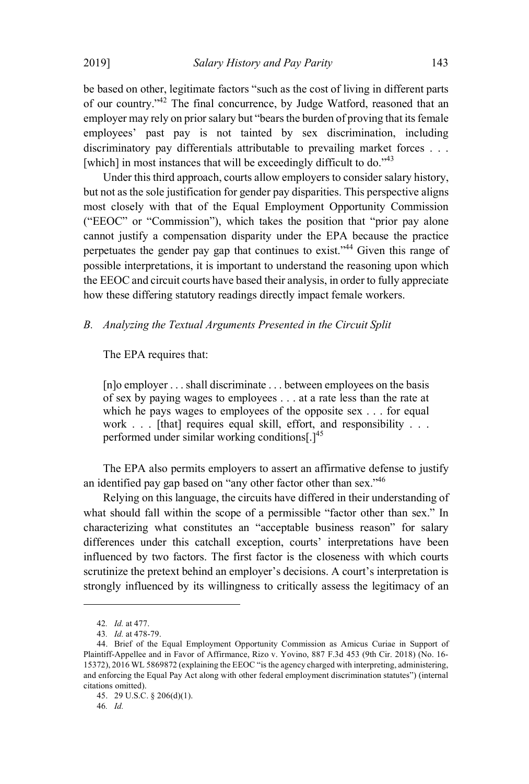be based on other, legitimate factors "such as the cost of living in different parts of our country."<sup>42</sup> The final concurrence, by Judge Watford, reasoned that an employer may rely on prior salary but "bears the burden of proving that its female employees' past pay is not tainted by sex discrimination, including discriminatory pay differentials attributable to prevailing market forces . . . [which] in most instances that will be exceedingly difficult to do."<sup>43</sup>

Under this third approach, courts allow employers to consider salary history, but not as the sole justification for gender pay disparities. This perspective aligns most closely with that of the Equal Employment Opportunity Commission ("EEOC" or "Commission"), which takes the position that "prior pay alone cannot justify a compensation disparity under the EPA because the practice perpetuates the gender pay gap that continues to exist." <sup>44</sup> Given this range of possible interpretations, it is important to understand the reasoning upon which the EEOC and circuit courts have based their analysis, in order to fully appreciate how these differing statutory readings directly impact female workers.

#### *B. Analyzing the Textual Arguments Presented in the Circuit Split*

#### The EPA requires that:

[n]o employer . . . shall discriminate . . . between employees on the basis of sex by paying wages to employees . . . at a rate less than the rate at which he pays wages to employees of the opposite sex . . . for equal work . . . [that] requires equal skill, effort, and responsibility . . . performed under similar working conditions[ $1^{45}$ ]

The EPA also permits employers to assert an affirmative defense to justify an identified pay gap based on "any other factor other than sex."<sup>46</sup>

Relying on this language, the circuits have differed in their understanding of what should fall within the scope of a permissible "factor other than sex." In characterizing what constitutes an "acceptable business reason" for salary differences under this catchall exception, courts' interpretations have been influenced by two factors. The first factor is the closeness with which courts scrutinize the pretext behind an employer's decisions. A court's interpretation is strongly influenced by its willingness to critically assess the legitimacy of an

<sup>42</sup>*. Id.* at 477.

<sup>43</sup>*. Id.* at 478-79.

<sup>44.</sup> Brief of the Equal Employment Opportunity Commission as Amicus Curiae in Support of Plaintiff-Appellee and in Favor of Affirmance, Rizo v. Yovino, 887 F.3d 453 (9th Cir. 2018) (No. 16- 15372), 2016 WL 5869872 (explaining the EEOC "is the agency charged with interpreting, administering, and enforcing the Equal Pay Act along with other federal employment discrimination statutes") (internal citations omitted).

<sup>45.</sup> 29 U.S.C. § 206(d)(1).

<sup>46</sup>*. Id.*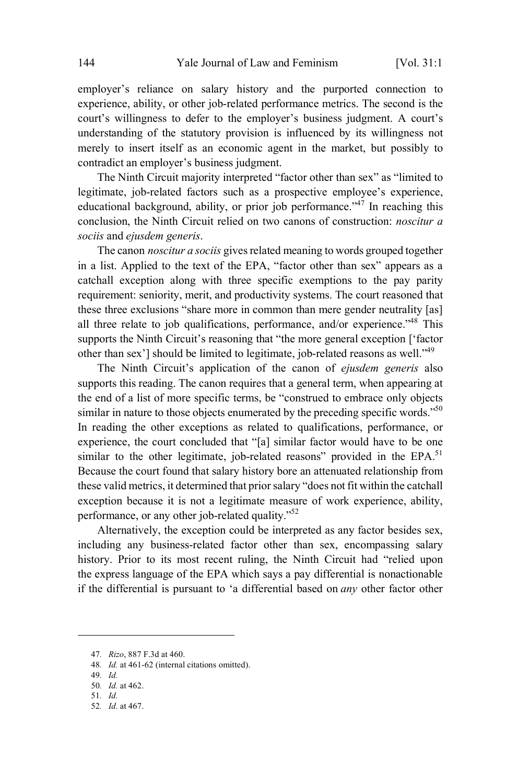employer's reliance on salary history and the purported connection to experience, ability, or other job-related performance metrics. The second is the court's willingness to defer to the employer's business judgment. A court's understanding of the statutory provision is influenced by its willingness not merely to insert itself as an economic agent in the market, but possibly to contradict an employer's business judgment.

The Ninth Circuit majority interpreted "factor other than sex" as "limited to legitimate, job-related factors such as a prospective employee's experience, educational background, ability, or prior job performance."<sup>47</sup> In reaching this conclusion, the Ninth Circuit relied on two canons of construction: *noscitur a sociis* and *ejusdem generis*.

The canon *noscitur a sociis* gives related meaning to words grouped together in a list. Applied to the text of the EPA, "factor other than sex" appears as a catchall exception along with three specific exemptions to the pay parity requirement: seniority, merit, and productivity systems. The court reasoned that these three exclusions "share more in common than mere gender neutrality [as] all three relate to job qualifications, performance, and/or experience.<sup> $48$ </sup> This supports the Ninth Circuit's reasoning that "the more general exception ['factor other than sex'l should be limited to legitimate, job-related reasons as well."<sup>49</sup>

The Ninth Circuit's application of the canon of *ejusdem generis* also supports this reading. The canon requires that a general term, when appearing at the end of a list of more specific terms, be "construed to embrace only objects similar in nature to those objects enumerated by the preceding specific words.<sup> $50$ </sup> In reading the other exceptions as related to qualifications, performance, or experience, the court concluded that "[a] similar factor would have to be one similar to the other legitimate, job-related reasons" provided in the  $EPA$ <sup>51</sup> Because the court found that salary history bore an attenuated relationship from these valid metrics, it determined that priorsalary "does not fit within the catchall exception because it is not a legitimate measure of work experience, ability, performance, or any other job-related quality."<sup>52</sup>

Alternatively, the exception could be interpreted as any factor besides sex, including any business-related factor other than sex, encompassing salary history. Prior to its most recent ruling, the Ninth Circuit had "relied upon the express language of the EPA which says a pay differential is nonactionable if the differential is pursuant to 'a differential based on *any* other factor other

<sup>47</sup>*. Rizo*, 887 F.3d at 460.

<sup>48</sup>*. Id.* at 461-62 (internal citations omitted).

<sup>49</sup>*. Id.*

<sup>50</sup>*. Id.* at 462. 51*. Id.*

<sup>52</sup>*. Id.* at 467.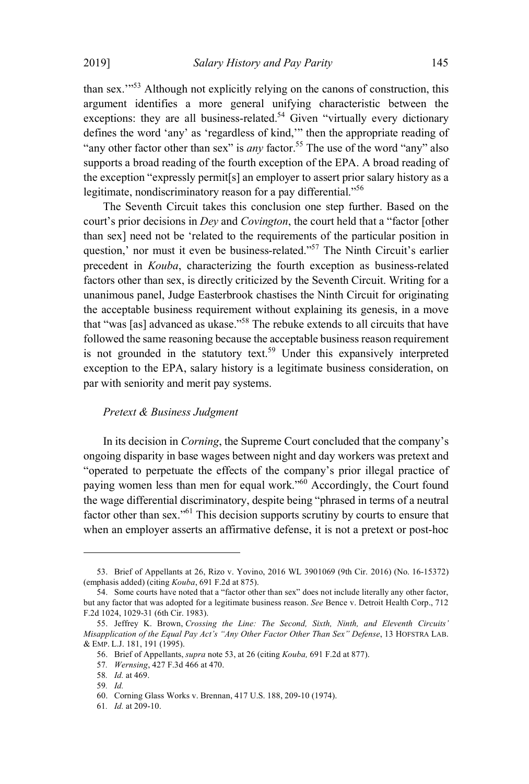than sex.'"<sup>53</sup> Although not explicitly relying on the canons of construction, this argument identifies a more general unifying characteristic between the exceptions: they are all business-related.<sup>54</sup> Given "virtually every dictionary defines the word 'any' as 'regardless of kind,'" then the appropriate reading of "any other factor other than sex" is *any* factor. <sup>55</sup> The use of the word "any" also supports a broad reading of the fourth exception of the EPA. A broad reading of the exception "expressly permit[s] an employer to assert prior salary history as a legitimate, nondiscriminatory reason for a pay differential."<sup>56</sup>

The Seventh Circuit takes this conclusion one step further. Based on the court's prior decisions in *Dey* and *Covington*, the court held that a "factor [other than sex] need not be 'related to the requirements of the particular position in question,' nor must it even be business-related."<sup>57</sup> The Ninth Circuit's earlier precedent in *Kouba*, characterizing the fourth exception as business-related factors other than sex, is directly criticized by the Seventh Circuit. Writing for a unanimous panel, Judge Easterbrook chastises the Ninth Circuit for originating the acceptable business requirement without explaining its genesis, in a move that "was [as] advanced as ukase." <sup>58</sup> The rebuke extends to all circuits that have followed the same reasoning because the acceptable business reason requirement is not grounded in the statutory text. <sup>59</sup> Under this expansively interpreted exception to the EPA, salary history is a legitimate business consideration, on par with seniority and merit pay systems.

#### *Pretext & Business Judgment*

In its decision in *Corning*, the Supreme Court concluded that the company's ongoing disparity in base wages between night and day workers was pretext and "operated to perpetuate the effects of the company's prior illegal practice of paying women less than men for equal work."<sup>60</sup> Accordingly, the Court found the wage differential discriminatory, despite being "phrased in terms of a neutral factor other than sex."<sup>61</sup> This decision supports scrutiny by courts to ensure that when an employer asserts an affirmative defense, it is not a pretext or post-hoc

<sup>53.</sup> Brief of Appellants at 26, Rizo v. Yovino, 2016 WL 3901069 (9th Cir. 2016) (No. 16-15372) (emphasis added) (citing *Kouba*, 691 F.2d at 875).

<sup>54.</sup> Some courts have noted that a "factor other than sex" does not include literally any other factor, but any factor that was adopted for a legitimate business reason. *See* Bence v. Detroit Health Corp., 712 F.2d 1024, 1029-31 (6th Cir. 1983).

<sup>55.</sup> Jeffrey K. Brown, *Crossing the Line: The Second, Sixth, Ninth, and Eleventh Circuits' Misapplication of the Equal Pay Act's "Any Other Factor Other Than Sex" Defense*, 13 HOFSTRA LAB. & EMP. L.J. 181, 191 (1995).

<sup>56.</sup> Brief of Appellants, *supra* note 53, at 26 (citing *Kouba,* 691 F.2d at 877).

<sup>57</sup>*. Wernsing*, 427 F.3d 466 at 470.

<sup>58</sup>*. Id.* at 469.

<sup>59</sup>*. Id.*

<sup>60.</sup> Corning Glass Works v. Brennan, 417 U.S. 188, 209-10 (1974).

<sup>61</sup>*. Id.* at 209-10.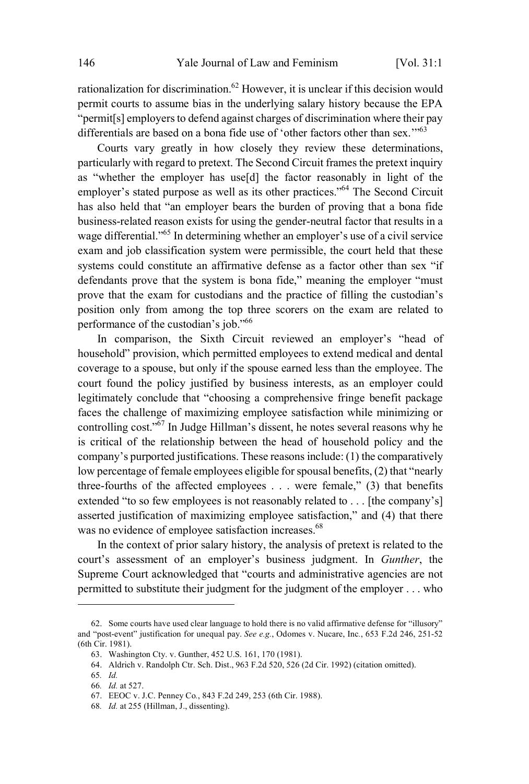rationalization for discrimination.<sup>62</sup> However, it is unclear if this decision would permit courts to assume bias in the underlying salary history because the EPA "permit[s] employers to defend against charges of discrimination where their pay differentials are based on a bona fide use of 'other factors other than sex." $63$ 

Courts vary greatly in how closely they review these determinations, particularly with regard to pretext. The Second Circuit frames the pretext inquiry as "whether the employer has use[d] the factor reasonably in light of the employer's stated purpose as well as its other practices."<sup>64</sup> The Second Circuit has also held that "an employer bears the burden of proving that a bona fide business-related reason exists for using the gender-neutral factor that results in a wage differential."<sup>65</sup> In determining whether an employer's use of a civil service exam and job classification system were permissible, the court held that these systems could constitute an affirmative defense as a factor other than sex "if defendants prove that the system is bona fide," meaning the employer "must prove that the exam for custodians and the practice of filling the custodian's position only from among the top three scorers on the exam are related to performance of the custodian's job."<sup>66</sup>

In comparison, the Sixth Circuit reviewed an employer's "head of household" provision, which permitted employees to extend medical and dental coverage to a spouse, but only if the spouse earned less than the employee. The court found the policy justified by business interests, as an employer could legitimately conclude that "choosing a comprehensive fringe benefit package faces the challenge of maximizing employee satisfaction while minimizing or controlling cost."<sup>67</sup> In Judge Hillman's dissent, he notes several reasons why he is critical of the relationship between the head of household policy and the company's purported justifications. These reasons include: (1) the comparatively low percentage of female employees eligible for spousal benefits, (2) that "nearly three-fourths of the affected employees . . . were female," (3) that benefits extended "to so few employees is not reasonably related to . . . [the company's] asserted justification of maximizing employee satisfaction," and (4) that there was no evidence of employee satisfaction increases.<sup>68</sup>

In the context of prior salary history, the analysis of pretext is related to the court's assessment of an employer's business judgment. In *Gunther*, the Supreme Court acknowledged that "courts and administrative agencies are not permitted to substitute their judgment for the judgment of the employer . . . who

<sup>62.</sup> Some courts have used clear language to hold there is no valid affirmative defense for "illusory" and "post-event" justification for unequal pay. *See e.g.*, Odomes v. Nucare, Inc*.*, 653 F.2d 246, 251-52 (6th Cir. 1981).

<sup>63.</sup> Washington Cty. v. Gunther, 452 U.S. 161, 170 (1981).

<sup>64.</sup> Aldrich v. Randolph Ctr. Sch. Dist., 963 F.2d 520, 526 (2d Cir. 1992) (citation omitted).

<sup>65</sup>*. Id.*

<sup>66</sup>*. Id.* at 527.

<sup>67.</sup> EEOC v. J.C. Penney Co*.*, 843 F.2d 249, 253 (6th Cir. 1988).

<sup>68</sup>*. Id.* at 255 (Hillman, J., dissenting).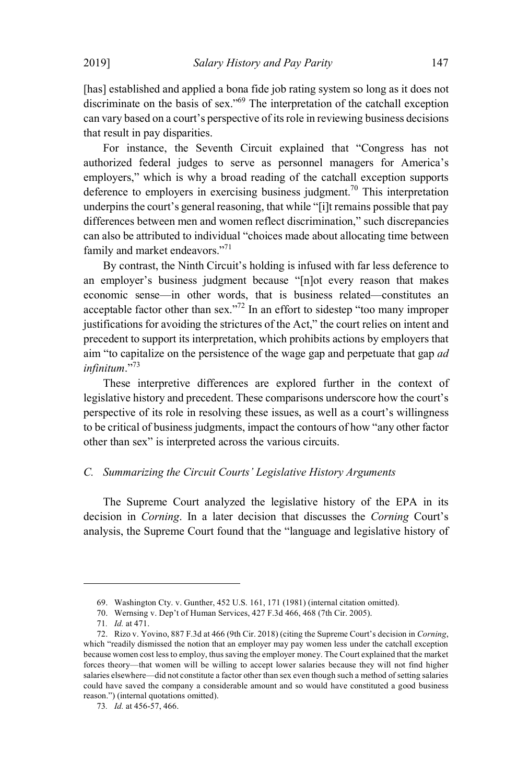[has] established and applied a bona fide job rating system so long as it does not discriminate on the basis of sex." <sup>69</sup> The interpretation of the catchall exception can vary based on a court's perspective of itsrole in reviewing business decisions that result in pay disparities.

For instance, the Seventh Circuit explained that "Congress has not authorized federal judges to serve as personnel managers for America's employers," which is why a broad reading of the catchall exception supports deference to employers in exercising business judgment.<sup>70</sup> This interpretation underpins the court's general reasoning, that while "[i]t remains possible that pay differences between men and women reflect discrimination," such discrepancies can also be attributed to individual "choices made about allocating time between family and market endeavors."<sup>71</sup>

By contrast, the Ninth Circuit's holding is infused with far less deference to an employer's business judgment because "[n]ot every reason that makes economic sense—in other words, that is business related—constitutes an acceptable factor other than sex.<sup> $272$ </sup> In an effort to sidestep "too many improper justifications for avoiding the strictures of the Act," the court relies on intent and precedent to support its interpretation, which prohibits actions by employers that aim "to capitalize on the persistence of the wage gap and perpetuate that gap *ad infinitum*."<sup>73</sup>

These interpretive differences are explored further in the context of legislative history and precedent. These comparisons underscore how the court's perspective of its role in resolving these issues, as well as a court's willingness to be critical of business judgments, impact the contours of how "any other factor other than sex" is interpreted across the various circuits.

## *C. Summarizing the Circuit Courts' Legislative History Arguments*

The Supreme Court analyzed the legislative history of the EPA in its decision in *Corning*. In a later decision that discusses the *Corning* Court's analysis, the Supreme Court found that the "language and legislative history of

<sup>69.</sup> Washington Cty. v. Gunther, 452 U.S. 161, 171 (1981) (internal citation omitted).

<sup>70.</sup> Wernsing v. Dep't of Human Services, 427 F.3d 466, 468 (7th Cir. 2005).

<sup>71</sup>*. Id.* at 471.

<sup>72.</sup> Rizo v. Yovino, 887 F.3d at 466 (9th Cir. 2018) (citing the Supreme Court's decision in *Corning*, which "readily dismissed the notion that an employer may pay women less under the catchall exception because women cost lessto employ, thussaving the employer money. The Court explained that the market forces theory—that women will be willing to accept lower salaries because they will not find higher salaries elsewhere—did not constitute a factor other than sex even though such a method of setting salaries could have saved the company a considerable amount and so would have constituted a good business reason.") (internal quotations omitted).

<sup>73</sup>*. Id.* at 456-57, 466.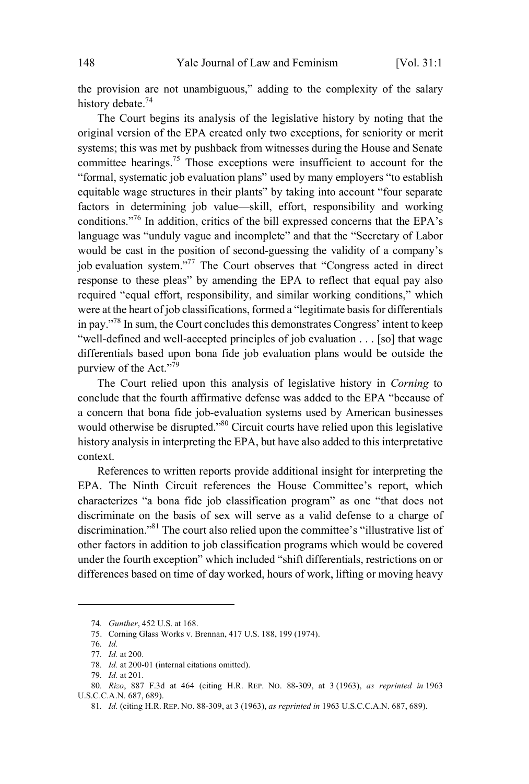the provision are not unambiguous," adding to the complexity of the salary history debate.<sup>74</sup>

The Court begins its analysis of the legislative history by noting that the original version of the EPA created only two exceptions, for seniority or merit systems; this was met by pushback from witnesses during the House and Senate committee hearings. <sup>75</sup> Those exceptions were insufficient to account for the "formal, systematic job evaluation plans" used by many employers "to establish equitable wage structures in their plants" by taking into account "four separate factors in determining job value—skill, effort, responsibility and working conditions."<sup>76</sup> In addition, critics of the bill expressed concerns that the EPA's language was "unduly vague and incomplete" and that the "Secretary of Labor would be cast in the position of second-guessing the validity of a company's job evaluation system."<sup>77</sup> The Court observes that "Congress acted in direct response to these pleas" by amending the EPA to reflect that equal pay also required "equal effort, responsibility, and similar working conditions," which were at the heart of job classifications, formed a "legitimate basis for differentials in pay." <sup>78</sup> In sum, the Court concludes this demonstrates Congress' intent to keep "well-defined and well-accepted principles of job evaluation . . . [so] that wage differentials based upon bona fide job evaluation plans would be outside the purview of the Act." $\overline{79}$ 

The Court relied upon this analysis of legislative history in *Corning* to conclude that the fourth affirmative defense was added to the EPA "because of a concern that bona fide job-evaluation systems used by American businesses would otherwise be disrupted."<sup>80</sup> Circuit courts have relied upon this legislative history analysis in interpreting the EPA, but have also added to this interpretative context.

References to written reports provide additional insight for interpreting the EPA. The Ninth Circuit references the House Committee's report, which characterizes "a bona fide job classification program" as one "that does not discriminate on the basis of sex will serve as a valid defense to a charge of discrimination." <sup>81</sup> The court also relied upon the committee's "illustrative list of other factors in addition to job classification programs which would be covered under the fourth exception" which included "shift differentials, restrictions on or differences based on time of day worked, hours of work, lifting or moving heavy

<sup>74</sup>*. Gunther*, 452 U.S. at 168.

<sup>75.</sup> Corning Glass Works v. Brennan, 417 U.S. 188, 199 (1974).

<sup>76</sup>*. Id.*

<sup>77</sup>*. Id.* at 200.

<sup>78</sup>*. Id.* at 200-01 (internal citations omitted).

<sup>79</sup>*. Id.* at 201.

<sup>80</sup>*. Rizo*, 887 F.3d at 464 (citing H.R. REP. NO. 88-309, at 3 (1963), *as reprinted in* 1963 U.S.C.C.A.N. 687, 689).

<sup>81</sup>*. Id.* (citing H.R. REP. NO. 88-309, at 3 (1963), *as reprinted in* 1963 U.S.C.C.A.N. 687, 689).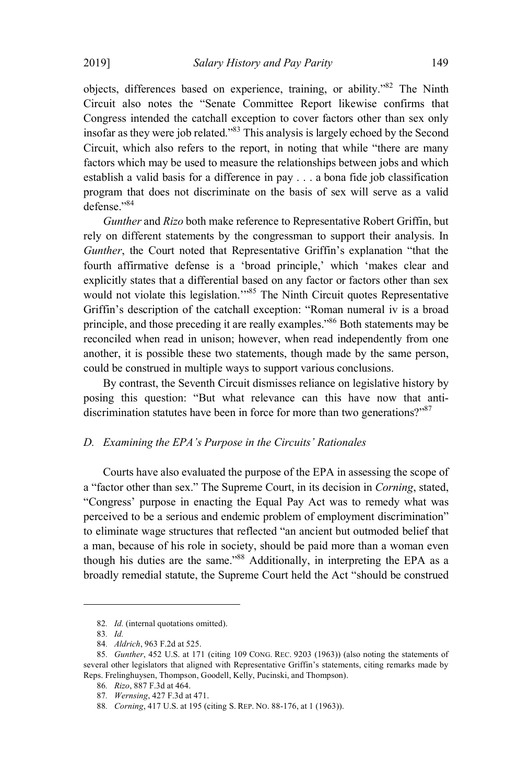objects, differences based on experience, training, or ability."<sup>82</sup> The Ninth Circuit also notes the "Senate Committee Report likewise confirms that Congress intended the catchall exception to cover factors other than sex only insofar as they were job related." <sup>83</sup> This analysis is largely echoed by the Second Circuit, which also refers to the report, in noting that while "there are many factors which may be used to measure the relationships between jobs and which establish a valid basis for a difference in pay . . . a bona fide job classification program that does not discriminate on the basis of sex will serve as a valid defense."<sup>84</sup>

*Gunther* and *Rizo* both make reference to Representative Robert Griffin, but rely on different statements by the congressman to support their analysis. In *Gunther*, the Court noted that Representative Griffin's explanation "that the fourth affirmative defense is a 'broad principle,' which 'makes clear and explicitly states that a differential based on any factor or factors other than sex would not violate this legislation."<sup>85</sup> The Ninth Circuit quotes Representative Griffin's description of the catchall exception: "Roman numeral iv is a broad principle, and those preceding it are really examples."<sup>86</sup> Both statements may be reconciled when read in unison; however, when read independently from one another, it is possible these two statements, though made by the same person, could be construed in multiple ways to support various conclusions.

By contrast, the Seventh Circuit dismisses reliance on legislative history by posing this question: "But what relevance can this have now that antidiscrimination statutes have been in force for more than two generations?"<sup>87</sup>

#### *D. Examining the EPA's Purpose in the Circuits' Rationales*

Courts have also evaluated the purpose of the EPA in assessing the scope of a "factor other than sex." The Supreme Court, in its decision in *Corning*, stated, "Congress' purpose in enacting the Equal Pay Act was to remedy what was perceived to be a serious and endemic problem of employment discrimination" to eliminate wage structures that reflected "an ancient but outmoded belief that a man, because of his role in society, should be paid more than a woman even though his duties are the same."<sup>88</sup> Additionally, in interpreting the EPA as a broadly remedial statute, the Supreme Court held the Act "should be construed

<sup>82</sup>*. Id.* (internal quotations omitted).

<sup>83</sup>*. Id.*

<sup>84</sup>*. Aldrich*, 963 F.2d at 525.

<sup>85</sup>*. Gunther*, 452 U.S. at 171 (citing 109 CONG. REC. 9203 (1963)) (also noting the statements of several other legislators that aligned with Representative Griffin's statements, citing remarks made by Reps. Frelinghuysen, Thompson, Goodell, Kelly, Pucinski, and Thompson).

<sup>86</sup>*. Rizo*, 887 F.3d at 464.

<sup>87</sup>*. Wernsing*, 427 F.3d at 471.

<sup>88</sup>*. Corning*, 417 U.S. at 195 (citing S. REP. NO. 88-176, at 1 (1963)).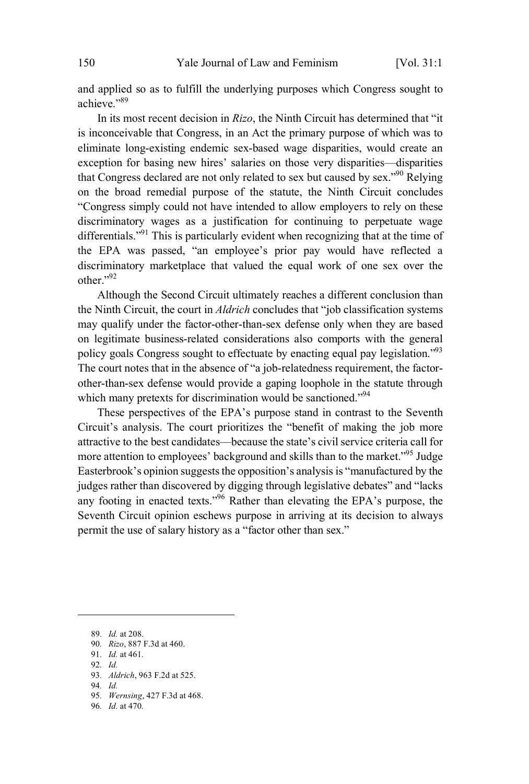and applied so as to fulfill the underlying purposes which Congress sought to achieve."<sup>89</sup>

In its most recent decision in *Rizo*, the Ninth Circuit has determined that "it is inconceivable that Congress, in an Act the primary purpose of which was to eliminate long-existing endemic sex-based wage disparities, would create an exception for basing new hires' salaries on those very disparities—disparities that Congress declared are not only related to sex but caused by sex.<sup> $990$ </sup> Relying on the broad remedial purpose of the statute, the Ninth Circuit concludes "Congress simply could not have intended to allow employers to rely on these discriminatory wages as a justification for continuing to perpetuate wage differentials."<sup>91</sup> This is particularly evident when recognizing that at the time of the EPA was passed, "an employee's prior pay would have reflected a discriminatory marketplace that valued the equal work of one sex over the other." 92

Although the Second Circuit ultimately reaches a different conclusion than the Ninth Circuit, the court in *Aldrich* concludes that "job classification systems may qualify under the factor-other-than-sex defense only when they are based on legitimate business-related considerations also comports with the general policy goals Congress sought to effectuate by enacting equal pay legislation."<sup>93</sup> The court notes that in the absence of "a job-relatedness requirement, the factorother-than-sex defense would provide a gaping loophole in the statute through which many pretexts for discrimination would be sanctioned."<sup>94</sup>

These perspectives of the EPA's purpose stand in contrast to the Seventh Circuit's analysis. The court prioritizes the "benefit of making the job more attractive to the best candidates—because the state's civil service criteria call for more attention to employees' background and skills than to the market."<sup>95</sup> Judge Easterbrook's opinion suggests the opposition's analysis is "manufactured by the judges rather than discovered by digging through legislative debates" and "lacks any footing in enacted texts."<sup>96</sup> Rather than elevating the EPA's purpose, the Seventh Circuit opinion eschews purpose in arriving at its decision to always permit the use of salary history as a "factor other than sex."

- 90*. Rizo*, 887 F.3d at 460.
- 91*. Id.* at 461*.*
- 92*. Id.*
- 93*. Aldrich*, 963 F.2d at 525.
- 94*. Id.*
- 95*. Wernsing*, 427 F.3d at 468.
- 96*. Id.* at 470*.*

<sup>89</sup>*. Id.* at 208.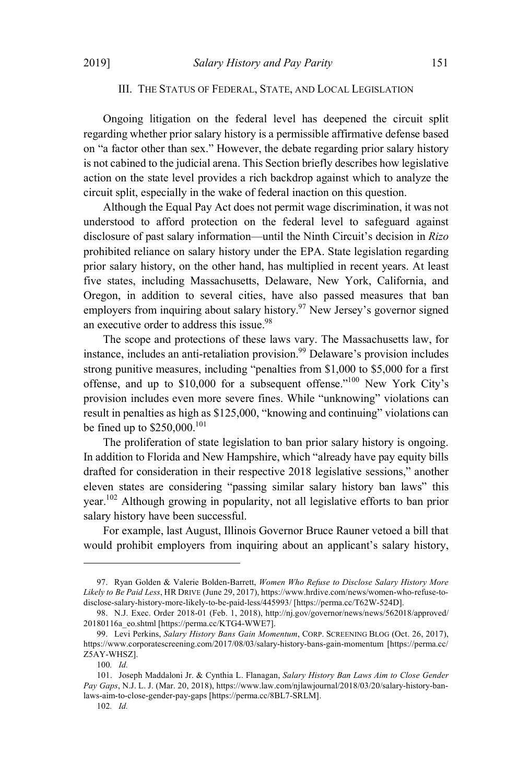## III. THE STATUS OF FEDERAL, STATE, AND LOCAL LEGISLATION

Ongoing litigation on the federal level has deepened the circuit split regarding whether prior salary history is a permissible affirmative defense based on "a factor other than sex." However, the debate regarding prior salary history is not cabined to the judicial arena. This Section briefly describes how legislative action on the state level provides a rich backdrop against which to analyze the circuit split, especially in the wake of federal inaction on this question.

Although the Equal Pay Act does not permit wage discrimination, it was not understood to afford protection on the federal level to safeguard against disclosure of past salary information—until the Ninth Circuit's decision in *Rizo* prohibited reliance on salary history under the EPA. State legislation regarding prior salary history, on the other hand, has multiplied in recent years. At least five states, including Massachusetts, Delaware, New York, California, and Oregon, in addition to several cities, have also passed measures that ban employers from inquiring about salary history.<sup>97</sup> New Jersey's governor signed an executive order to address this issue.<sup>98</sup>

The scope and protections of these laws vary. The Massachusetts law, for instance, includes an anti-retaliation provision.<sup>99</sup> Delaware's provision includes strong punitive measures, including "penalties from \$1,000 to \$5,000 for a first offense, and up to \$10,000 for a subsequent offense.<sup>"100</sup> New York City's provision includes even more severe fines. While "unknowing" violations can result in penalties as high as \$125,000, "knowing and continuing" violations can be fined up to  $$250,000$ .<sup>101</sup>

The proliferation of state legislation to ban prior salary history is ongoing. In addition to Florida and New Hampshire, which "already have pay equity bills drafted for consideration in their respective 2018 legislative sessions," another eleven states are considering "passing similar salary history ban laws" this year. <sup>102</sup> Although growing in popularity, not all legislative efforts to ban prior salary history have been successful.

For example, last August, Illinois Governor Bruce Rauner vetoed a bill that would prohibit employers from inquiring about an applicant's salary history,

<sup>97.</sup> Ryan Golden & Valerie Bolden-Barrett, *Women Who Refuse to Disclose Salary History More Likely to Be Paid Less*, HR DRIVE (June 29, 2017), https://www.hrdive.com/news/women-who-refuse-todisclose-salary-history-more-likely-to-be-paid-less/445993/ [https://perma.cc/T62W-524D].

<sup>98.</sup> N.J. Exec. Order 2018-01 (Feb. 1, 2018), http://nj.gov/governor/news/news/562018/approved/ 20180116a\_eo.shtml [https://perma.cc/KTG4-WWE7].

<sup>99.</sup> Levi Perkins, *Salary History Bans Gain Momentum*, CORP. SCREENING BLOG (Oct. 26, 2017), https://www.corporatescreening.com/2017/08/03/salary-history-bans-gain-momentum [https://perma.cc/ Z5AY-WHSZ].

<sup>100</sup>*. Id.*

<sup>101.</sup> Joseph Maddaloni Jr. & Cynthia L. Flanagan, *Salary History Ban Laws Aim to Close Gender Pay Gaps*, N.J. L. J. (Mar. 20, 2018), https://www.law.com/njlawjournal/2018/03/20/salary-history-banlaws-aim-to-close-gender-pay-gaps [https://perma.cc/8BL7-SRLM].

<sup>102</sup>*. Id.*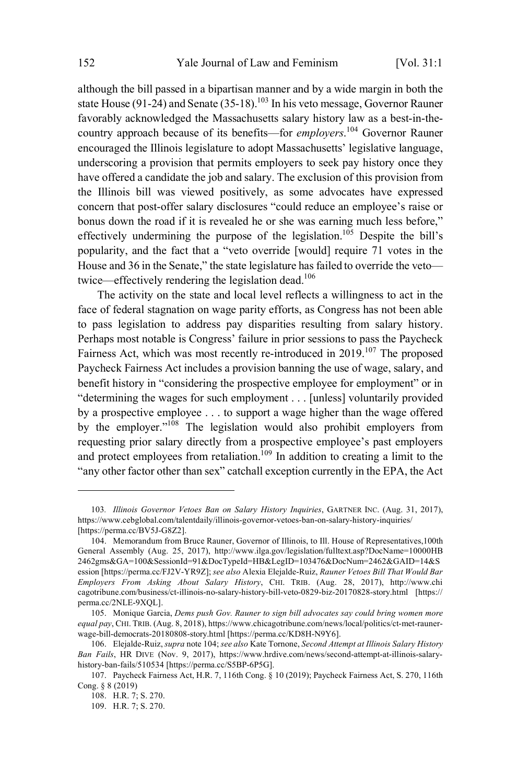although the bill passed in a bipartisan manner and by a wide margin in both the state House (91-24) and Senate (35-18).<sup>103</sup> In his veto message, Governor Rauner favorably acknowledged the Massachusetts salary history law as a best-in-thecountry approach because of its benefits—for *employers*. <sup>104</sup> Governor Rauner encouraged the Illinois legislature to adopt Massachusetts' legislative language, underscoring a provision that permits employers to seek pay history once they have offered a candidate the job and salary. The exclusion of this provision from the Illinois bill was viewed positively, as some advocates have expressed concern that post-offer salary disclosures "could reduce an employee's raise or bonus down the road if it is revealed he or she was earning much less before," effectively undermining the purpose of the legislation.<sup>105</sup> Despite the bill's popularity, and the fact that a "veto override [would] require 71 votes in the House and 36 in the Senate," the state legislature has failed to override the veto twice—effectively rendering the legislation dead. 106

The activity on the state and local level reflects a willingness to act in the face of federal stagnation on wage parity efforts, as Congress has not been able to pass legislation to address pay disparities resulting from salary history. Perhaps most notable is Congress' failure in prior sessions to pass the Paycheck Fairness Act, which was most recently re-introduced in 2019.<sup>107</sup> The proposed Paycheck Fairness Act includes a provision banning the use of wage, salary, and benefit history in "considering the prospective employee for employment" or in "determining the wages for such employment . . . [unless] voluntarily provided by a prospective employee . . . to support a wage higher than the wage offered by the employer."<sup>108</sup> The legislation would also prohibit employers from requesting prior salary directly from a prospective employee's past employers and protect employees from retaliation.<sup>109</sup> In addition to creating a limit to the "any other factor other than sex" catchall exception currently in the EPA, the Act

<sup>103</sup>*. Illinois Governor Vetoes Ban on Salary History Inquiries*, GARTNER INC. (Aug. 31, 2017), https://www.cebglobal.com/talentdaily/illinois-governor-vetoes-ban-on-salary-history-inquiries/ [https://perma.cc/BV5J-G8Z2].

<sup>104.</sup> Memorandum from Bruce Rauner, Governor of Illinois, to Ill. House of Representatives,100th General Assembly (Aug. 25, 2017), http://www.ilga.gov/legislation/fulltext.asp?DocName=10000HB 2462gms&GA=100&SessionId=91&DocTypeId=HB&LegID=103476&DocNum=2462&GAID=14&S ession [https://perma.cc/FJ2V-YR9Z]; *see also* Alexia Elejalde-Ruiz, *Rauner Vetoes Bill That Would Bar Employers From Asking About Salary History*, CHI. TRIB. (Aug. 28, 2017), http://www.chi cagotribune.com/business/ct-illinois-no-salary-history-bill-veto-0829-biz-20170828-story.html [https:// perma.cc/2NLE-9XQL].

<sup>105.</sup> Monique Garcia, *Dems push Gov. Rauner to sign bill advocates say could bring women more equal pay*, CHI. TRIB. (Aug. 8, 2018), https://www.chicagotribune.com/news/local/politics/ct-met-raunerwage-bill-democrats-20180808-story.html [https://perma.cc/KD8H-N9Y6].

<sup>106.</sup> Elejalde-Ruiz, *supra* note 104; *see also* Kate Tornone, *Second Attempt at Illinois Salary History Ban Fails*, HR DIVE (Nov. 9, 2017), https://www.hrdive.com/news/second-attempt-at-illinois-salaryhistory-ban-fails/510534 [https://perma.cc/S5BP-6P5G].

<sup>107.</sup> Paycheck Fairness Act, H.R. 7, 116th Cong. § 10 (2019); Paycheck Fairness Act, S. 270, 116th Cong. § 8 (2019)

<sup>108.</sup> H.R. 7; S. 270.

<sup>109.</sup> H.R. 7; S. 270.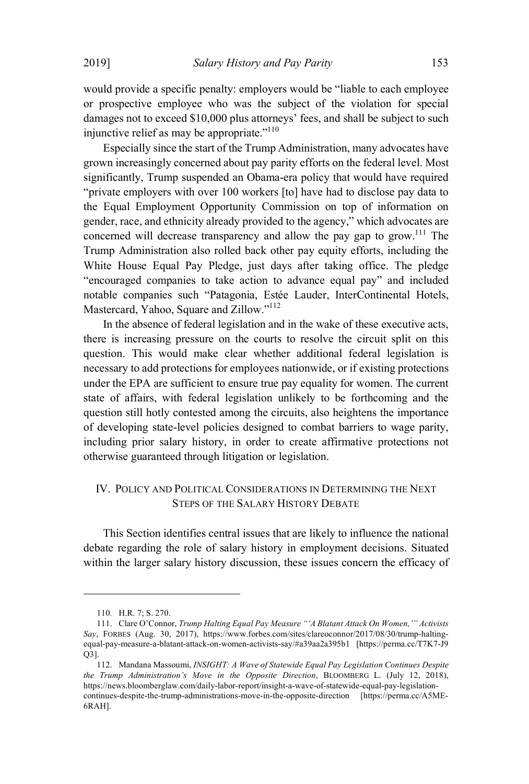would provide a specific penalty: employers would be "liable to each employee or prospective employee who was the subject of the violation for special damages not to exceed \$10,000 plus attorneys' fees, and shall be subject to such injunctive relief as may be appropriate." $110$ 

Especially since the start of the Trump Administration, many advocates have grown increasingly concerned about pay parity efforts on the federal level. Most significantly, Trump suspended an Obama-era policy that would have required "private employers with over 100 workers [to] have had to disclose pay data to the Equal Employment Opportunity Commission on top of information on gender, race, and ethnicity already provided to the agency," which advocates are concerned will decrease transparency and allow the pay gap to grow.<sup>111</sup> The Trump Administration also rolled back other pay equity efforts, including the White House Equal Pay Pledge, just days after taking office. The pledge "encouraged companies to take action to advance equal pay" and included notable companies such "Patagonia, Estée Lauder, InterContinental Hotels, Mastercard, Yahoo, Square and Zillow."<sup>112</sup>

In the absence of federal legislation and in the wake of these executive acts, there is increasing pressure on the courts to resolve the circuit split on this question. This would make clear whether additional federal legislation is necessary to add protections for employees nationwide, or if existing protections under the EPA are sufficient to ensure true pay equality for women. The current state of affairs, with federal legislation unlikely to be forthcoming and the question still hotly contested among the circuits, also heightens the importance of developing state-level policies designed to combat barriers to wage parity, including prior salary history, in order to create affirmative protections not otherwise guaranteed through litigation or legislation.

# IV. POLICY AND POLITICAL CONSIDERATIONS IN DETERMINING THE NEXT STEPS OF THE SALARY HISTORY DEBATE

This Section identifies central issues that are likely to influence the national debate regarding the role of salary history in employment decisions. Situated within the larger salary history discussion, these issues concern the efficacy of

<sup>110</sup>*.* H.R. 7; S. 270.

<sup>111.</sup> Clare O'Connor, *Trump Halting Equal Pay Measure "'A Blatant Attack On Women,'" Activists Say*, FORBES (Aug. 30, 2017), https://www.forbes.com/sites/clareoconnor/2017/08/30/trump-haltingequal-pay-measure-a-blatant-attack-on-women-activists-say/#a39aa2a395b1 [https://perma.cc/T7K7-J9 Q3].

<sup>112.</sup> Mandana Massoumi, *INSIGHT: A Wave of Statewide Equal Pay Legislation Continues Despite the Trump Administration's Move in the Opposite Direction*, BLOOMBERG L. (July 12, 2018), https://news.bloomberglaw.com/daily-labor-report/insight-a-wave-of-statewide-equal-pay-legislationcontinues-despite-the-trump-administrations-move-in-the-opposite-direction [https://perma.cc/A5ME-6RAH].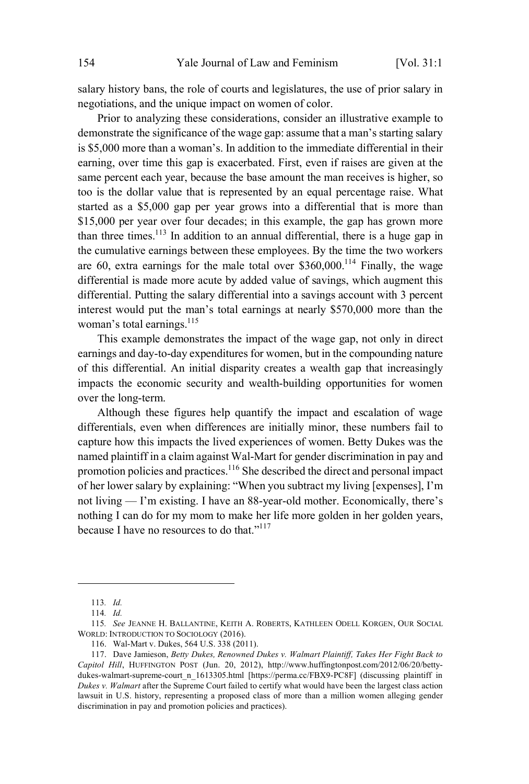salary history bans, the role of courts and legislatures, the use of prior salary in negotiations, and the unique impact on women of color.

Prior to analyzing these considerations, consider an illustrative example to demonstrate the significance of the wage gap: assume that a man's starting salary is \$5,000 more than a woman's. In addition to the immediate differential in their earning, over time this gap is exacerbated. First, even if raises are given at the same percent each year, because the base amount the man receives is higher, so too is the dollar value that is represented by an equal percentage raise. What started as a \$5,000 gap per year grows into a differential that is more than \$15,000 per year over four decades; in this example, the gap has grown more than three times. 113 In addition to an annual differential, there is a huge gap in the cumulative earnings between these employees. By the time the two workers are 60, extra earnings for the male total over  $$360,000$ .<sup>114</sup> Finally, the wage differential is made more acute by added value of savings, which augment this differential. Putting the salary differential into a savings account with 3 percent interest would put the man's total earnings at nearly \$570,000 more than the woman's total earnings. 115

This example demonstrates the impact of the wage gap, not only in direct earnings and day-to-day expenditures for women, but in the compounding nature of this differential. An initial disparity creates a wealth gap that increasingly impacts the economic security and wealth-building opportunities for women over the long-term.

Although these figures help quantify the impact and escalation of wage differentials, even when differences are initially minor, these numbers fail to capture how this impacts the lived experiences of women. Betty Dukes was the named plaintiff in a claim against Wal-Mart for gender discrimination in pay and promotion policies and practices. <sup>116</sup> She described the direct and personal impact of her lower salary by explaining: "When you subtract my living [expenses], I'm not living — I'm existing. I have an 88-year-old mother. Economically, there's nothing I can do for my mom to make her life more golden in her golden years, because I have no resources to do that."<sup>117</sup>

<sup>113</sup>*. Id.*

<sup>114</sup>*. Id.*

<sup>115</sup>*. See* JEANNE H. BALLANTINE, KEITH A. ROBERTS, KATHLEEN ODELL KORGEN, OUR SOCIAL WORLD: INTRODUCTION TO SOCIOLOGY (2016).

<sup>116.</sup> Wal-Mart v. Dukes, 564 U.S. 338 (2011).

<sup>117.</sup> Dave Jamieson, *Betty Dukes, Renowned Dukes v. Walmart Plaintiff, Takes Her Fight Back to Capitol Hill*, HUFFINGTON POST (Jun. 20, 2012), http://www.huffingtonpost.com/2012/06/20/bettydukes-walmart-supreme-court\_n\_1613305.html [https://perma.cc/FBX9-PC8F] (discussing plaintiff in *Dukes v. Walmart* after the Supreme Court failed to certify what would have been the largest class action lawsuit in U.S. history, representing a proposed class of more than a million women alleging gender discrimination in pay and promotion policies and practices).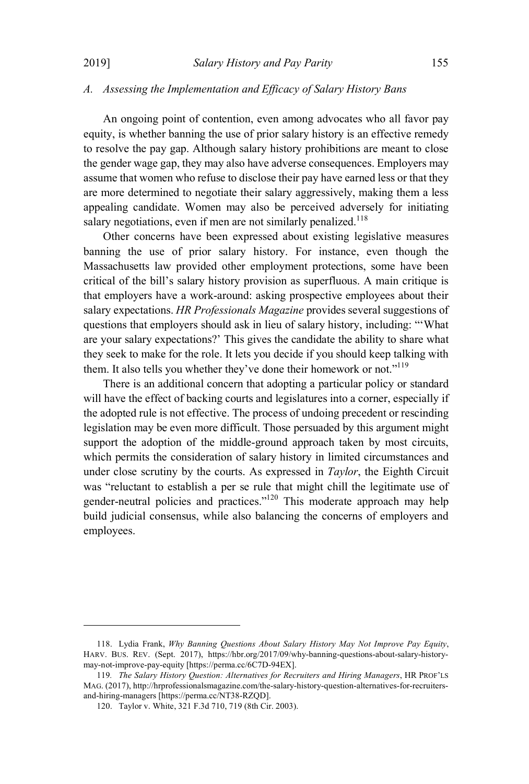## *A. Assessing the Implementation and Efficacy of Salary History Bans*

An ongoing point of contention, even among advocates who all favor pay equity, is whether banning the use of prior salary history is an effective remedy to resolve the pay gap. Although salary history prohibitions are meant to close the gender wage gap, they may also have adverse consequences. Employers may assume that women who refuse to disclose their pay have earned less or that they are more determined to negotiate their salary aggressively, making them a less appealing candidate. Women may also be perceived adversely for initiating salary negotiations, even if men are not similarly penalized.<sup>118</sup>

Other concerns have been expressed about existing legislative measures banning the use of prior salary history. For instance, even though the Massachusetts law provided other employment protections, some have been critical of the bill's salary history provision as superfluous. A main critique is that employers have a work-around: asking prospective employees about their salary expectations. *HR Professionals Magazine* provides several suggestions of questions that employers should ask in lieu of salary history, including: "'What are your salary expectations?' This gives the candidate the ability to share what they seek to make for the role. It lets you decide if you should keep talking with them. It also tells you whether they've done their homework or not."<sup>119</sup>

There is an additional concern that adopting a particular policy or standard will have the effect of backing courts and legislatures into a corner, especially if the adopted rule is not effective. The process of undoing precedent or rescinding legislation may be even more difficult. Those persuaded by this argument might support the adoption of the middle-ground approach taken by most circuits, which permits the consideration of salary history in limited circumstances and under close scrutiny by the courts. As expressed in *Taylor*, the Eighth Circuit was "reluctant to establish a per se rule that might chill the legitimate use of gender-neutral policies and practices."<sup>120</sup> This moderate approach may help build judicial consensus, while also balancing the concerns of employers and employees.

<sup>118.</sup> Lydia Frank, *Why Banning Questions About Salary History May Not Improve Pay Equity*, HARV. BUS. REV. (Sept. 2017), https://hbr.org/2017/09/why-banning-questions-about-salary-historymay-not-improve-pay-equity [https://perma.cc/6C7D-94EX].

<sup>119</sup>*. The Salary History Question: Alternatives for Recruiters and Hiring Managers*, HR PROF'LS MAG. (2017), http://hrprofessionalsmagazine.com/the-salary-history-question-alternatives-for-recruitersand-hiring-managers [https://perma.cc/NT38-RZQD].

<sup>120.</sup> Taylor v. White, 321 F.3d 710, 719 (8th Cir. 2003).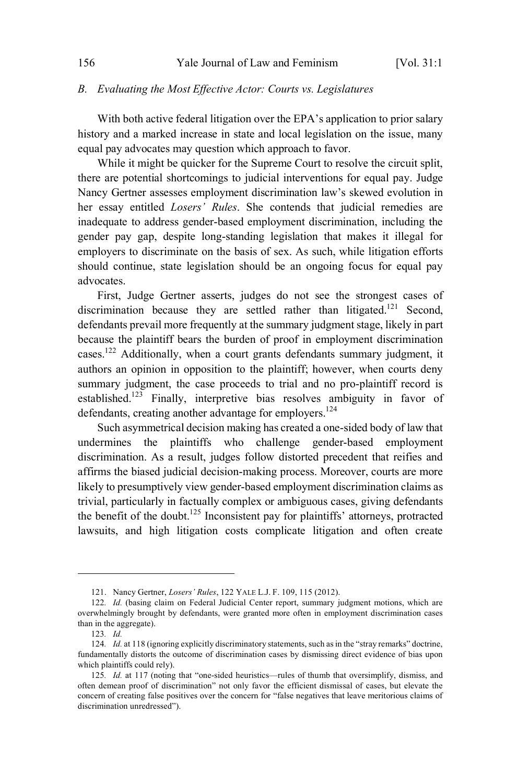#### *B. Evaluating the Most Effective Actor: Courts vs. Legislatures*

With both active federal litigation over the EPA's application to prior salary history and a marked increase in state and local legislation on the issue, many equal pay advocates may question which approach to favor.

While it might be quicker for the Supreme Court to resolve the circuit split, there are potential shortcomings to judicial interventions for equal pay. Judge Nancy Gertner assesses employment discrimination law's skewed evolution in her essay entitled *Losers' Rules*. She contends that judicial remedies are inadequate to address gender-based employment discrimination, including the gender pay gap, despite long-standing legislation that makes it illegal for employers to discriminate on the basis of sex. As such, while litigation efforts should continue, state legislation should be an ongoing focus for equal pay advocates.

First, Judge Gertner asserts, judges do not see the strongest cases of discrimination because they are settled rather than litigated.<sup>121</sup> Second, defendants prevail more frequently at the summary judgment stage, likely in part because the plaintiff bears the burden of proof in employment discrimination cases. <sup>122</sup> Additionally, when a court grants defendants summary judgment, it authors an opinion in opposition to the plaintiff; however, when courts deny summary judgment, the case proceeds to trial and no pro-plaintiff record is established.<sup>123</sup> Finally, interpretive bias resolves ambiguity in favor of defendants, creating another advantage for employers.<sup>124</sup>

Such asymmetrical decision making has created a one-sided body of law that undermines the plaintiffs who challenge gender-based employment discrimination. As a result, judges follow distorted precedent that reifies and affirms the biased judicial decision-making process. Moreover, courts are more likely to presumptively view gender-based employment discrimination claims as trivial, particularly in factually complex or ambiguous cases, giving defendants the benefit of the doubt. <sup>125</sup> Inconsistent pay for plaintiffs' attorneys, protracted lawsuits, and high litigation costs complicate litigation and often create

<sup>121.</sup> Nancy Gertner, *Losers' Rules*, 122 YALE L.J. F. 109, 115 (2012).

<sup>122</sup>*. Id.* (basing claim on Federal Judicial Center report, summary judgment motions, which are overwhelmingly brought by defendants, were granted more often in employment discrimination cases than in the aggregate).

<sup>123</sup>*. Id.*

<sup>124.</sup> *Id.* at 118 (ignoring explicitly discriminatory statements, such as in the "stray remarks" doctrine, fundamentally distorts the outcome of discrimination cases by dismissing direct evidence of bias upon which plaintiffs could rely).

<sup>125</sup>*. Id.* at 117 (noting that "one-sided heuristics—rules of thumb that oversimplify, dismiss, and often demean proof of discrimination" not only favor the efficient dismissal of cases, but elevate the concern of creating false positives over the concern for "false negatives that leave meritorious claims of discrimination unredressed").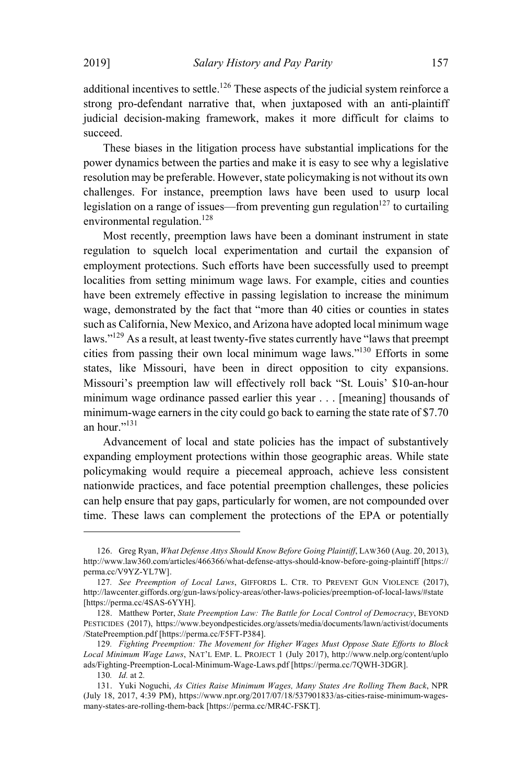additional incentives to settle.<sup>126</sup> These aspects of the judicial system reinforce a strong pro-defendant narrative that, when juxtaposed with an anti-plaintiff judicial decision-making framework, makes it more difficult for claims to succeed.

These biases in the litigation process have substantial implications for the power dynamics between the parties and make it is easy to see why a legislative resolution may be preferable. However, state policymaking is not without its own challenges. For instance, preemption laws have been used to usurp local legislation on a range of issues—from preventing gun regulation  $127$  to curtailing environmental regulation.<sup>128</sup>

Most recently, preemption laws have been a dominant instrument in state regulation to squelch local experimentation and curtail the expansion of employment protections. Such efforts have been successfully used to preempt localities from setting minimum wage laws. For example, cities and counties have been extremely effective in passing legislation to increase the minimum wage, demonstrated by the fact that "more than 40 cities or counties in states such as California, New Mexico, and Arizona have adopted local minimum wage laws."<sup>129</sup> As a result, at least twenty-five states currently have "laws that preempt cities from passing their own local minimum wage laws."<sup>130</sup> Efforts in some states, like Missouri, have been in direct opposition to city expansions. Missouri's preemption law will effectively roll back "St. Louis' \$10-an-hour minimum wage ordinance passed earlier this year . . . [meaning] thousands of minimum-wage earners in the city could go back to earning the state rate of \$7.70 an hour."<sup>131</sup>

Advancement of local and state policies has the impact of substantively expanding employment protections within those geographic areas. While state policymaking would require a piecemeal approach, achieve less consistent nationwide practices, and face potential preemption challenges, these policies can help ensure that pay gaps, particularly for women, are not compounded over time. These laws can complement the protections of the EPA or potentially

<sup>126.</sup> Greg Ryan, *What Defense Attys Should Know Before Going Plaintiff*, LAW360 (Aug. 20, 2013), http://www.law360.com/articles/466366/what-defense-attys-should-know-before-going-plaintiff [https:// perma.cc/V9YZ-YL7W].

<sup>127</sup>*. See Preemption of Local Laws*, GIFFORDS L. CTR. TO PREVENT GUN VIOLENCE (2017), http://lawcenter.giffords.org/gun-laws/policy-areas/other-laws-policies/preemption-of-local-laws/#state [https://perma.cc/4SAS-6YYH].

<sup>128.</sup> Matthew Porter, *State Preemption Law: The Battle for Local Control of Democracy*, BEYOND PESTICIDES (2017), https://www.beyondpesticides.org/assets/media/documents/lawn/activist/documents /StatePreemption.pdf [https://perma.cc/F5FT-P384].

<sup>129</sup>*. Fighting Preemption: The Movement for Higher Wages Must Oppose State Efforts to Block Local Minimum Wage Laws*, NAT'<sup>L</sup> EMP. L. PROJECT 1 (July 2017), http://www.nelp.org/content/uplo ads/Fighting-Preemption-Local-Minimum-Wage-Laws.pdf [https://perma.cc/7QWH-3DGR].

<sup>130</sup>*. Id.* at 2*.*

<sup>131.</sup> Yuki Noguchi, *As Cities Raise Minimum Wages, Many States Are Rolling Them Back*, NPR (July 18, 2017, 4:39 PM), https://www.npr.org/2017/07/18/537901833/as-cities-raise-minimum-wagesmany-states-are-rolling-them-back [https://perma.cc/MR4C-FSKT].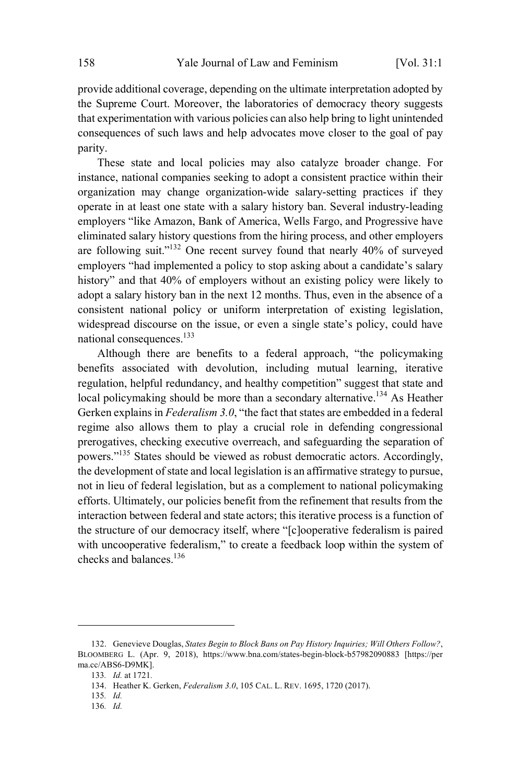provide additional coverage, depending on the ultimate interpretation adopted by the Supreme Court. Moreover, the laboratories of democracy theory suggests that experimentation with various policies can also help bring to light unintended consequences of such laws and help advocates move closer to the goal of pay parity.

These state and local policies may also catalyze broader change. For instance, national companies seeking to adopt a consistent practice within their organization may change organization-wide salary-setting practices if they operate in at least one state with a salary history ban. Several industry-leading employers "like Amazon, Bank of America, Wells Fargo, and Progressive have eliminated salary history questions from the hiring process, and other employers are following suit."<sup>132</sup> One recent survey found that nearly 40% of surveyed employers "had implemented a policy to stop asking about a candidate's salary history" and that 40% of employers without an existing policy were likely to adopt a salary history ban in the next 12 months. Thus, even in the absence of a consistent national policy or uniform interpretation of existing legislation, widespread discourse on the issue, or even a single state's policy, could have national consequences.<sup>133</sup>

Although there are benefits to a federal approach, "the policymaking benefits associated with devolution, including mutual learning, iterative regulation, helpful redundancy, and healthy competition" suggest that state and local policymaking should be more than a secondary alternative.<sup>134</sup> As Heather Gerken explains in *Federalism 3.0*, "the fact that states are embedded in a federal regime also allows them to play a crucial role in defending congressional prerogatives, checking executive overreach, and safeguarding the separation of powers." <sup>135</sup> States should be viewed as robust democratic actors. Accordingly, the development of state and local legislation is an affirmative strategy to pursue, not in lieu of federal legislation, but as a complement to national policymaking efforts. Ultimately, our policies benefit from the refinement that results from the interaction between federal and state actors; this iterative process is a function of the structure of our democracy itself, where "[c]ooperative federalism is paired with uncooperative federalism," to create a feedback loop within the system of checks and balances. 136

<sup>132.</sup> Genevieve Douglas, *States Begin to Block Bans on Pay History Inquiries; Will Others Follow?*, BLOOMBERG L. (Apr. 9, 2018), https://www.bna.com/states-begin-block-b57982090883 [https://per ma.cc/ABS6-D9MK].

<sup>133</sup>*. Id.* at 1721*.*

<sup>134.</sup> Heather K. Gerken, *Federalism 3.0*, 105 CAL. L. REV. 1695, 1720 (2017).

<sup>135</sup>*. Id.*

<sup>136</sup>*. Id.*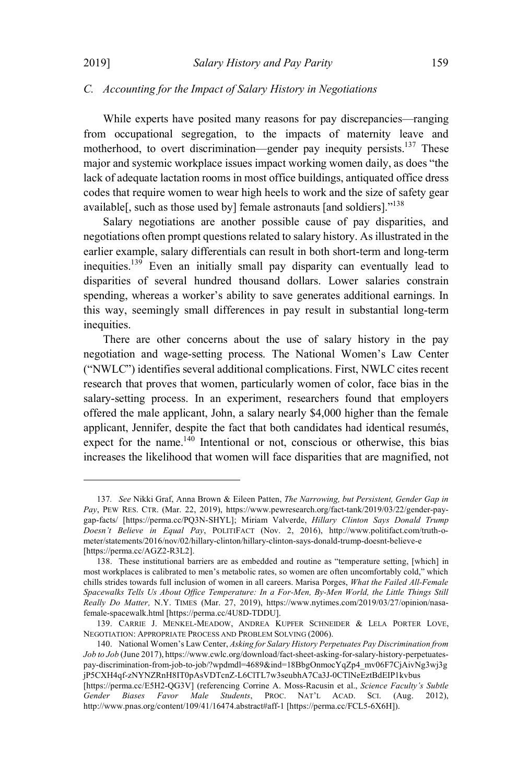### *C. Accounting for the Impact of Salary History in Negotiations*

While experts have posited many reasons for pay discrepancies—ranging from occupational segregation, to the impacts of maternity leave and motherhood, to overt discrimination—gender pay inequity persists.<sup>137</sup> These major and systemic workplace issues impact working women daily, as does "the lack of adequate lactation rooms in most office buildings, antiquated office dress codes that require women to wear high heels to work and the size of safety gear available<sup>[1]</sup>, such as those used by female astronauts [and soldiers].<sup>138</sup>

Salary negotiations are another possible cause of pay disparities, and negotiations often prompt questions related to salary history. As illustrated in the earlier example, salary differentials can result in both short-term and long-term inequities.<sup>139</sup> Even an initially small pay disparity can eventually lead to disparities of several hundred thousand dollars. Lower salaries constrain spending, whereas a worker's ability to save generates additional earnings. In this way, seemingly small differences in pay result in substantial long-term inequities.

There are other concerns about the use of salary history in the pay negotiation and wage-setting process. The National Women's Law Center ("NWLC") identifies several additional complications. First, NWLC cites recent research that proves that women, particularly women of color, face bias in the salary-setting process. In an experiment, researchers found that employers offered the male applicant, John, a salary nearly \$4,000 higher than the female applicant, Jennifer, despite the fact that both candidates had identical resumés, expect for the name.  $140$  Intentional or not, conscious or otherwise, this bias increases the likelihood that women will face disparities that are magnified, not

<sup>137</sup>*. See* Nikki Graf, Anna Brown & Eileen Patten, *The Narrowing, but Persistent, Gender Gap in Pay*, PEW RES. CTR. (Mar. 22, 2019), https://www.pewresearch.org/fact-tank/2019/03/22/gender-paygap-facts/ [https://perma.cc/PQ3N-SHYL]; Miriam Valverde, *Hillary Clinton Says Donald Trump Doesn't Believe in Equal Pay*, POLITIFACT (Nov. 2, 2016), http://www.politifact.com/truth-ometer/statements/2016/nov/02/hillary-clinton/hillary-clinton-says-donald-trump-doesnt-believe-e [https://perma.cc/AGZ2-R3L2].

<sup>138.</sup> These institutional barriers are as embedded and routine as "temperature setting, [which] in most workplaces is calibrated to men's metabolic rates, so women are often uncomfortably cold," which chills strides towards full inclusion of women in all careers. Marisa Porges, *What the Failed All-Female Spacewalks Tells Us About Office Temperature: In a For-Men, By-Men World, the Little Things Still Really Do Matter,* N.Y. TIMES (Mar. 27, 2019), https://www.nytimes.com/2019/03/27/opinion/nasafemale-spacewalk.html [https://perma.cc/4U8D-TDDU].

<sup>139.</sup> CARRIE J. MENKEL-MEADOW, ANDREA KUPFER SCHNEIDER & LELA PORTER LOVE, NEGOTIATION: APPROPRIATE PROCESS AND PROBLEM SOLVING (2006).

<sup>140.</sup> National Women's Law Center, *Asking for Salary History Perpetuates Pay Discrimination from Job to Job* (June 2017), https://www.cwlc.org/download/fact-sheet-asking-for-salary-history-perpetuatespay-discrimination-from-job-to-job/?wpdmdl=4689&ind=18BbgOnmocYqZp4\_mv06F7CjAivNg3wj3g jP5CXH4qf-zNYNZRnH8IT0pAsVDTcnZ-L6ClTL7w3seubhA7Ca3J-0CTlNeEztBdEIP1kvbus

<sup>[</sup>https://perma.cc/E5H2-QG3V] (referencing Corrine A. Moss-Racusin et al., *Science Faculty's Subtle Favor Male Students*, PROC. NAT'L ACAD. SCI. (Aug. http://www.pnas.org/content/109/41/16474.abstract#aff-1 [https://perma.cc/FCL5-6X6H]).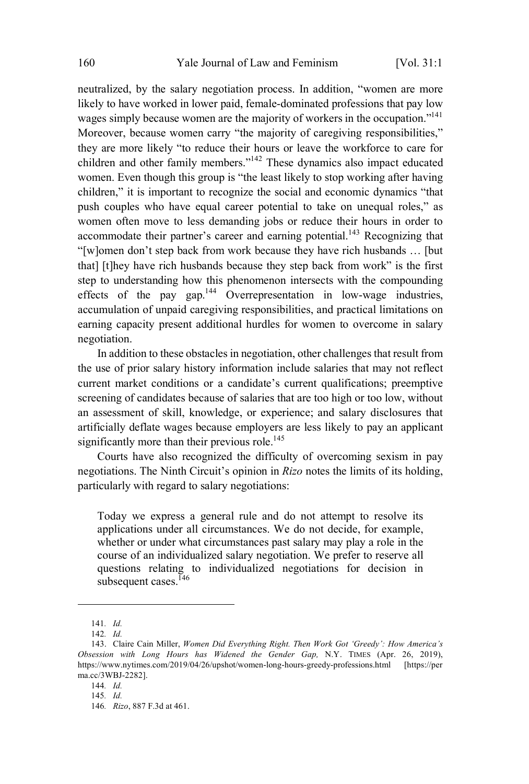neutralized, by the salary negotiation process. In addition, "women are more likely to have worked in lower paid, female-dominated professions that pay low wages simply because women are the majority of workers in the occupation."<sup>141</sup> Moreover, because women carry "the majority of caregiving responsibilities," they are more likely "to reduce their hours or leave the workforce to care for children and other family members."<sup>142</sup> These dynamics also impact educated women. Even though this group is "the least likely to stop working after having children," it is important to recognize the social and economic dynamics "that push couples who have equal career potential to take on unequal roles," as women often move to less demanding jobs or reduce their hours in order to accommodate their partner's career and earning potential.<sup>143</sup> Recognizing that "[w]omen don't step back from work because they have rich husbands … [but that] [t]hey have rich husbands because they step back from work" is the first step to understanding how this phenomenon intersects with the compounding effects of the pay gap.<sup>144</sup> Overrepresentation in low-wage industries, accumulation of unpaid caregiving responsibilities, and practical limitations on earning capacity present additional hurdles for women to overcome in salary negotiation.

In addition to these obstacles in negotiation, other challenges that result from the use of prior salary history information include salaries that may not reflect current market conditions or a candidate's current qualifications; preemptive screening of candidates because of salaries that are too high or too low, without an assessment of skill, knowledge, or experience; and salary disclosures that artificially deflate wages because employers are less likely to pay an applicant significantly more than their previous role.<sup>145</sup>

Courts have also recognized the difficulty of overcoming sexism in pay negotiations. The Ninth Circuit's opinion in *Rizo* notes the limits of its holding, particularly with regard to salary negotiations:

Today we express a general rule and do not attempt to resolve its applications under all circumstances. We do not decide, for example, whether or under what circumstances past salary may play a role in the course of an individualized salary negotiation. We prefer to reserve all questions relating to individualized negotiations for decision in subsequent cases.<sup>146</sup>

<sup>141</sup>*. Id.*

<sup>142</sup>*. Id.* 143. Claire Cain Miller, *Women Did Everything Right. Then Work Got 'Greedy': How America's Obsession with Long Hours has Widened the Gender Gap,* N.Y. TIMES (Apr. 26, 2019), https://www.nytimes.com/2019/04/26/upshot/women-long-hours-greedy-professions.html [https://per ma.cc/3WBJ-2282].

<sup>144</sup>*. Id.*

<sup>145</sup>*. Id.*

<sup>146</sup>*. Rizo*, 887 F.3d at 461.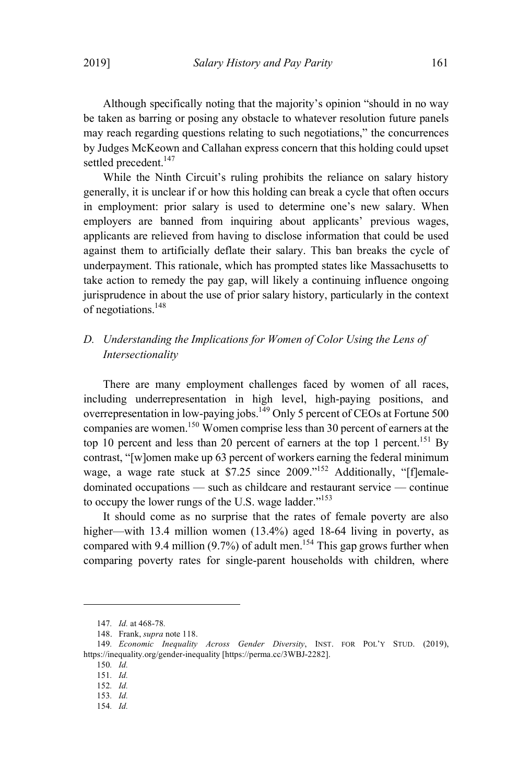Although specifically noting that the majority's opinion "should in no way be taken as barring or posing any obstacle to whatever resolution future panels may reach regarding questions relating to such negotiations," the concurrences by Judges McKeown and Callahan express concern that this holding could upset settled precedent.<sup>147</sup>

While the Ninth Circuit's ruling prohibits the reliance on salary history generally, it is unclear if or how this holding can break a cycle that often occurs in employment: prior salary is used to determine one's new salary. When employers are banned from inquiring about applicants' previous wages, applicants are relieved from having to disclose information that could be used against them to artificially deflate their salary. This ban breaks the cycle of underpayment. This rationale, which has prompted states like Massachusetts to take action to remedy the pay gap, will likely a continuing influence ongoing jurisprudence in about the use of prior salary history, particularly in the context of negotiations. 148

# *D. Understanding the Implications for Women of Color Using the Lens of Intersectionality*

There are many employment challenges faced by women of all races, including underrepresentation in high level, high-paying positions, and overrepresentation in low-paying jobs.  $149$  Only 5 percent of CEOs at Fortune 500 companies are women.<sup>150</sup> Women comprise less than 30 percent of earners at the top 10 percent and less than 20 percent of earners at the top 1 percent.<sup>151</sup> By contrast, "[w]omen make up 63 percent of workers earning the federal minimum wage, a wage rate stuck at  $$7.25$  since  $2009$ ."<sup>152</sup> Additionally, "[flemaledominated occupations — such as childcare and restaurant service — continue to occupy the lower rungs of the U.S. wage ladder." $153$ 

It should come as no surprise that the rates of female poverty are also higher—with 13.4 million women (13.4%) aged 18-64 living in poverty, as compared with 9.4 million (9.7%) of adult men.<sup>154</sup> This gap grows further when comparing poverty rates for single-parent households with children, where

<sup>147</sup>*. Id.* at 468-78*.*

<sup>148.</sup> Frank, *supra* note 118.

<sup>149</sup>*. Economic Inequality Across Gender Diversity*, INST. FOR POL'<sup>Y</sup> STUD. (2019), https://inequality.org/gender-inequality [https://perma.cc/3WBJ-2282].

<sup>150</sup>*. Id.*

<sup>151</sup>*. Id.*

<sup>152</sup>*. Id.*

<sup>153</sup>*. Id.*

<sup>154</sup>*. Id.*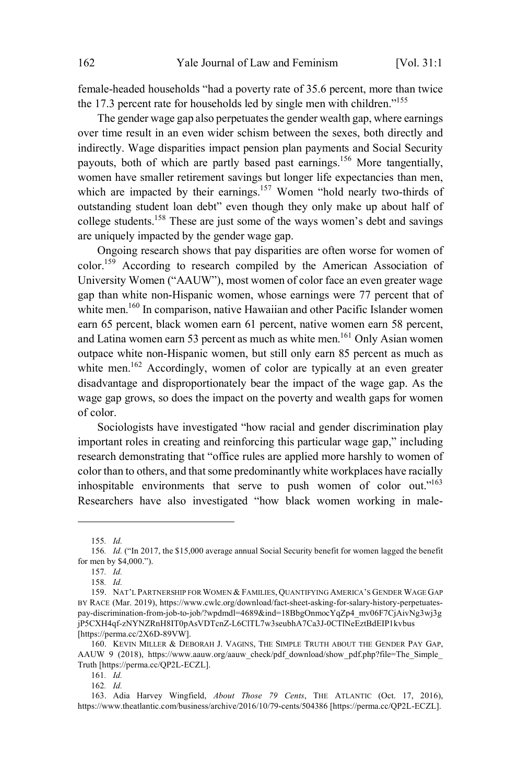female-headed households "had a poverty rate of 35.6 percent, more than twice the 17.3 percent rate for households led by single men with children."<sup>155</sup>

The gender wage gap also perpetuates the gender wealth gap, where earnings over time result in an even wider schism between the sexes, both directly and indirectly. Wage disparities impact pension plan payments and Social Security payouts, both of which are partly based past earnings. <sup>156</sup> More tangentially, women have smaller retirement savings but longer life expectancies than men, which are impacted by their earnings.<sup>157</sup> Women "hold nearly two-thirds of outstanding student loan debt" even though they only make up about half of college students. <sup>158</sup> These are just some of the ways women's debt and savings are uniquely impacted by the gender wage gap.

Ongoing research shows that pay disparities are often worse for women of color.<sup>159</sup> According to research compiled by the American Association of University Women ("AAUW"), most women of color face an even greater wage gap than white non-Hispanic women, whose earnings were 77 percent that of white men.<sup>160</sup> In comparison, native Hawaiian and other Pacific Islander women earn 65 percent, black women earn 61 percent, native women earn 58 percent, and Latina women earn 53 percent as much as white men.<sup>161</sup> Only Asian women outpace white non-Hispanic women, but still only earn 85 percent as much as white men.<sup>162</sup> Accordingly, women of color are typically at an even greater disadvantage and disproportionately bear the impact of the wage gap. As the wage gap grows, so does the impact on the poverty and wealth gaps for women of color.

Sociologists have investigated "how racial and gender discrimination play important roles in creating and reinforcing this particular wage gap," including research demonstrating that "office rules are applied more harshly to women of color than to others, and that some predominantly white workplaces have racially inhospitable environments that serve to push women of color out."<sup>163</sup> Researchers have also investigated "how black women working in male-

<sup>155</sup>*. Id.*

<sup>156</sup>*. Id.* ("In 2017, the \$15,000 average annual Social Security benefit for women lagged the benefit for men by \$4,000.").

<sup>157</sup>*. Id.*

<sup>158</sup>*. Id.*

<sup>159.</sup> NAT'L PARTNERSHIP FORWOMEN & FAMILIES, QUANTIFYING AMERICA'S GENDER WAGE GAP BY RACE (Mar. 2019), https://www.cwlc.org/download/fact-sheet-asking-for-salary-history-perpetuatespay-discrimination-from-job-to-job/?wpdmdl=4689&ind=18BbgOnmocYqZp4\_mv06F7CjAivNg3wj3g jP5CXH4qf-zNYNZRnH8IT0pAsVDTcnZ-L6ClTL7w3seubhA7Ca3J-0CTlNeEztBdEIP1kvbus [https://perma.cc/2X6D-89VW].

<sup>160.</sup> KEVIN MILLER & DEBORAH J. VAGINS, THE SIMPLE TRUTH ABOUT THE GENDER PAY GAP, AAUW 9 (2018), https://www.aauw.org/aauw\_check/pdf\_download/show\_pdf.php?file=The\_Simple\_ Truth [https://perma.cc/QP2L-ECZL].

<sup>161</sup>*. Id.*

<sup>162</sup>*. Id.*

<sup>163.</sup> Adia Harvey Wingfield, *About Those 79 Cents*, THE ATLANTIC (Oct. 17, 2016), https://www.theatlantic.com/business/archive/2016/10/79-cents/504386 [https://perma.cc/QP2L-ECZL].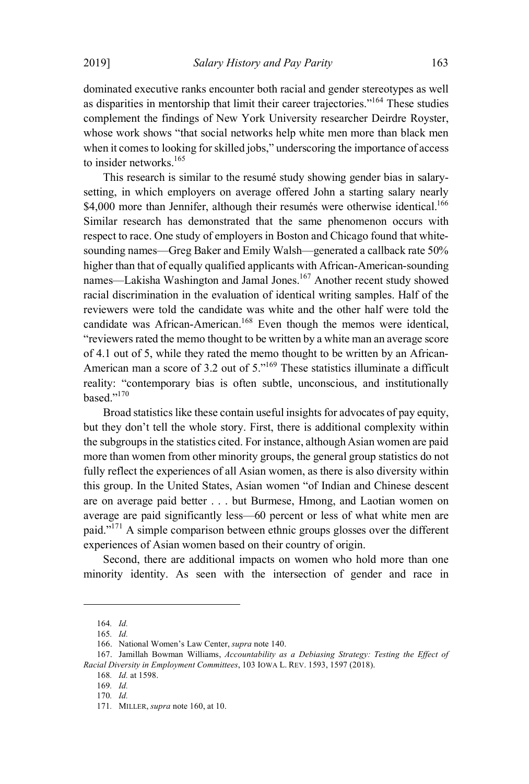dominated executive ranks encounter both racial and gender stereotypes as well as disparities in mentorship that limit their career trajectories."<sup>164</sup> These studies complement the findings of New York University researcher Deirdre Royster, whose work shows "that social networks help white men more than black men when it comes to looking for skilled jobs," underscoring the importance of access to insider networks. 165

This research is similar to the resumé study showing gender bias in salarysetting, in which employers on average offered John a starting salary nearly \$4,000 more than Jennifer, although their resumés were otherwise identical.<sup>166</sup> Similar research has demonstrated that the same phenomenon occurs with respect to race. One study of employers in Boston and Chicago found that whitesounding names—Greg Baker and Emily Walsh—generated a callback rate 50% higher than that of equally qualified applicants with African-American-sounding names—Lakisha Washington and Jamal Jones.<sup>167</sup> Another recent study showed racial discrimination in the evaluation of identical writing samples. Half of the reviewers were told the candidate was white and the other half were told the candidate was African-American. <sup>168</sup> Even though the memos were identical, "reviewers rated the memo thought to be written by a white man an average score of 4.1 out of 5, while they rated the memo thought to be written by an African-American man a score of 3.2 out of 5.<sup>3169</sup> These statistics illuminate a difficult reality: "contemporary bias is often subtle, unconscious, and institutionally based." 170

Broad statistics like these contain useful insights for advocates of pay equity, but they don't tell the whole story. First, there is additional complexity within the subgroups in the statistics cited. For instance, although Asian women are paid more than women from other minority groups, the general group statistics do not fully reflect the experiences of all Asian women, as there is also diversity within this group. In the United States, Asian women "of Indian and Chinese descent are on average paid better . . . but Burmese, Hmong, and Laotian women on average are paid significantly less—60 percent or less of what white men are paid."<sup>171</sup> A simple comparison between ethnic groups glosses over the different experiences of Asian women based on their country of origin.

Second, there are additional impacts on women who hold more than one minority identity. As seen with the intersection of gender and race in

<sup>164</sup>*. Id.*

<sup>165</sup>*. Id.*

<sup>166.</sup> National Women's Law Center, *supra* note 140.

<sup>167.</sup> Jamillah Bowman Williams, *Accountability as a Debiasing Strategy: Testing the Effect of Racial Diversity in Employment Committees*, 103 IOWA L. REV. 1593, 1597 (2018).

<sup>168</sup>*. Id.* at 1598.

<sup>169</sup>*. Id.*

<sup>170</sup>*. Id.*

<sup>171</sup>*.* MILLER, *supra* note 160, at 10.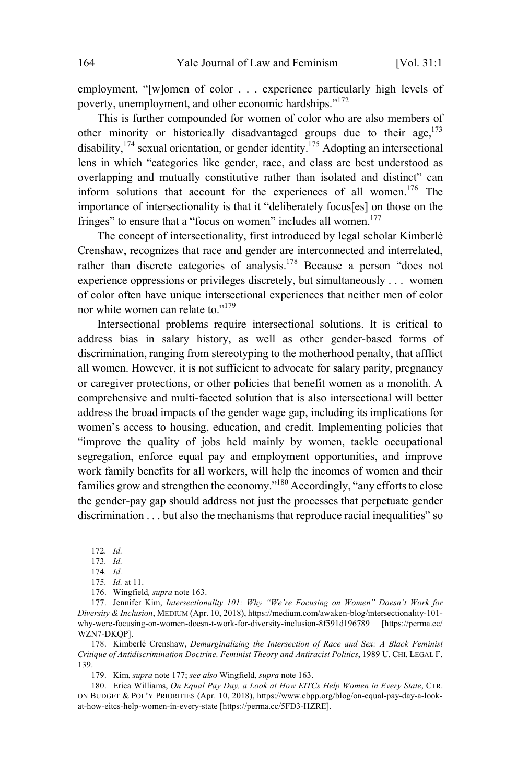employment, "[w]omen of color . . . experience particularly high levels of poverty, unemployment, and other economic hardships." 172

This is further compounded for women of color who are also members of other minority or historically disadvantaged groups due to their age,  $173$ disability, <sup>174</sup> sexual orientation, or gender identity. <sup>175</sup> Adopting an intersectional lens in which "categories like gender, race, and class are best understood as overlapping and mutually constitutive rather than isolated and distinct" can inform solutions that account for the experiences of all women.<sup>176</sup> The importance of intersectionality is that it "deliberately focus[es] on those on the fringes" to ensure that a "focus on women" includes all women.<sup>177</sup>

The concept of intersectionality, first introduced by legal scholar Kimberlé Crenshaw, recognizes that race and gender are interconnected and interrelated, rather than discrete categories of analysis.<sup>178</sup> Because a person "does not experience oppressions or privileges discretely, but simultaneously . . . women of color often have unique intersectional experiences that neither men of color nor white women can relate to."<sup>179</sup>

Intersectional problems require intersectional solutions. It is critical to address bias in salary history, as well as other gender-based forms of discrimination, ranging from stereotyping to the motherhood penalty, that afflict all women. However, it is not sufficient to advocate for salary parity, pregnancy or caregiver protections, or other policies that benefit women as a monolith. A comprehensive and multi-faceted solution that is also intersectional will better address the broad impacts of the gender wage gap, including its implications for women's access to housing, education, and credit. Implementing policies that "improve the quality of jobs held mainly by women, tackle occupational segregation, enforce equal pay and employment opportunities, and improve work family benefits for all workers, will help the incomes of women and their families grow and strengthen the economy."<sup>180</sup> Accordingly, "any efforts to close the gender-pay gap should address not just the processes that perpetuate gender discrimination . . . but also the mechanisms that reproduce racial inequalities" so

<sup>172</sup>*. Id.*

<sup>173</sup>*. Id.*

<sup>174</sup>*. Id.*

<sup>175</sup>*. Id.* at 11.

<sup>176.</sup> Wingfield*, supra* note 163.

<sup>177.</sup> Jennifer Kim, *Intersectionality 101: Why "We're Focusing on Women" Doesn't Work for Diversity & Inclusion*, MEDIUM (Apr. 10, 2018), https://medium.com/awaken-blog/intersectionality-101 why-were-focusing-on-women-doesn-t-work-for-diversity-inclusion-8f591d196789 WZN7-DKQP].

<sup>178.</sup> Kimberlé Crenshaw, *Demarginalizing the Intersection of Race and Sex: A Black Feminist Critique of Antidiscrimination Doctrine, Feminist Theory and Antiracist Politics*, 1989 U. CHI. LEGAL F. 139.

<sup>179.</sup> Kim, *supra* note 177; *see also* Wingfield, *supra* note 163.

<sup>180.</sup> Erica Williams, *On Equal Pay Day, a Look at How EITCs Help Women in Every State*, CTR. ON BUDGET & POL'Y PRIORITIES (Apr. 10, 2018), https://www.cbpp.org/blog/on-equal-pay-day-a-lookat-how-eitcs-help-women-in-every-state [https://perma.cc/5FD3-HZRE].